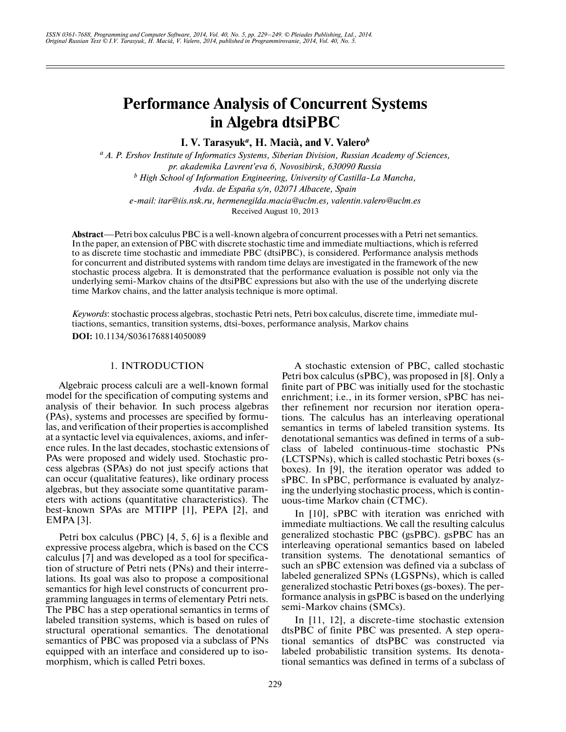# **Performance Analysis of Concurrent Systems in Algebra dtsiPBC**

**I. V. Tarasyuk***<sup>a</sup>* **, H. Macià, and V. Valero***<sup>b</sup>*

*a A. P. Ershov Institute of Informatics Systems, Siberian Division, Russian Academy of Sciences, pr. akademika Lavrent'eva 6, Novosibirsk, 630090 Russia b High School of Information Engineering, University of Castilla-La Mancha, Avda. de España s/n, 02071 Albacete, Spain e-mail: itar@iis.nsk.ru, hermenegilda.macia@uclm.es, valentin.valero@uclm.es* Received August 10, 2013

**Abstract**—Petri box calculus PBC is a well-known algebra of concurrent processes with a Petri net semantics. In the paper, an extension of PBC with discrete stochastic time and immediate multiactions, which is referred to as discrete time stochastic and immediate PBC (dtsiPBC), is considered. Performance analysis methods for concurrent and distributed systems with random time delays are investigated in the framework of the new stochastic process algebra. It is demonstrated that the performance evaluation is possible not only via the underlying semi-Markov chains of the dtsiPBC expressions but also with the use of the underlying discrete time Markov chains, and the latter analysis technique is more optimal.

*Keywords*: stochastic process algebras, stochastic Petri nets, Petri box calculus, discrete time, immediate mul tiactions, semantics, transition systems, dtsi-boxes, performance analysis, Markov chains

**DOI:** 10.1134/S0361768814050089

# 1. INTRODUCTION

Algebraic process calculi are a well-known formal model for the specification of computing systems and analysis of their behavior. In such process algebras (PAs), systems and processes are specified by formu las, and verification of their properties is accomplished at a syntactic level via equivalences, axioms, and infer ence rules. In the last decades, stochastic extensions of PAs were proposed and widely used. Stochastic pro cess algebras (SPAs) do not just specify actions that can occur (qualitative features), like ordinary process algebras, but they associate some quantitative param eters with actions (quantitative characteristics). The best-known SPAs are MTIPP [1], PEPA [2], and EMPA [3].

Petri box calculus (PBC) [4, 5, 6] is a flexible and expressive process algebra, which is based on the CCS calculus [7] and was developed as a tool for specifica tion of structure of Petri nets (PNs) and their interre lations. Its goal was also to propose a compositional semantics for high level constructs of concurrent pro gramming languages in terms of elementary Petri nets. The PBC has a step operational semantics in terms of labeled transition systems, which is based on rules of structural operational semantics. The denotational semantics of PBC was proposed via a subclass of PNs equipped with an interface and considered up to iso morphism, which is called Petri boxes.

A stochastic extension of PBC, called stochastic Petri box calculus (sPBC), was proposed in [8]. Only a finite part of PBC was initially used for the stochastic enrichment; i.e., in its former version, sPBC has nei ther refinement nor recursion nor iteration opera tions. The calculus has an interleaving operational semantics in terms of labeled transition systems. Its denotational semantics was defined in terms of a sub class of labeled continuous-time stochastic PNs (LCTSPNs), which is called stochastic Petri boxes (sboxes). In [9], the iteration operator was added to sPBC. In sPBC, performance is evaluated by analyz ing the underlying stochastic process, which is contin uous-time Markov chain (CTMC).

In [10], sPBC with iteration was enriched with immediate multiactions. We call the resulting calculus generalized stochastic PBC (gsPBC). gsPBC has an interleaving operational semantics based on labeled transition systems. The denotational semantics of such an sPBC extension was defined via a subclass of labeled generalized SPNs (LGSPNs), which is called generalized stochastic Petri boxes (gs-boxes). The per formance analysis in gsPBC is based on the underlying semi-Markov chains (SMCs).

In [11, 12], a discrete-time stochastic extension dtsPBC of finite PBC was presented. A step opera tional semantics of dtsPBC was constructed via labeled probabilistic transition systems. Its denota tional semantics was defined in terms of a subclass of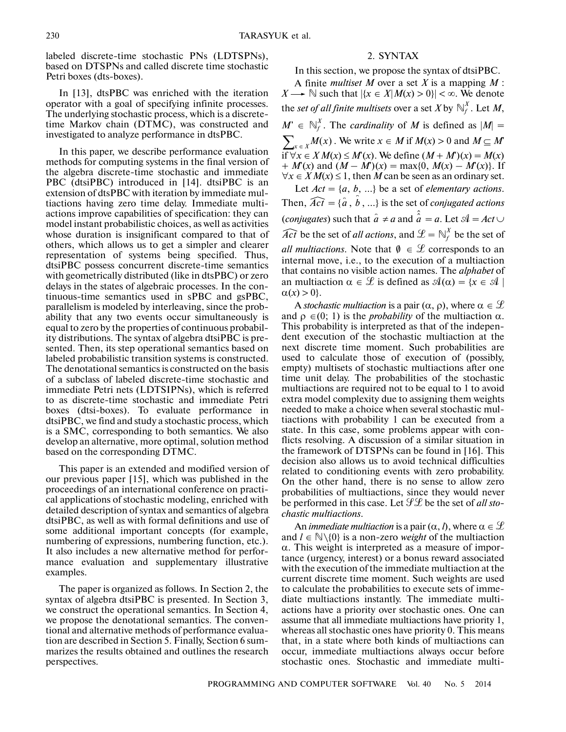labeled discrete-time stochastic PNs (LDTSPNs), based on DTSPNs and called discrete time stochastic Petri boxes (dts-boxes).

In [13], dtsPBC was enriched with the iteration operator with a goal of specifying infinite processes. The underlying stochastic process, which is a discrete time Markov chain (DTMC), was constructed and investigated to analyze performance in dtsPBC.

In this paper, we describe performance evaluation methods for computing systems in the final version of the algebra discrete-time stochastic and immediate PBC (dtsiPBC) introduced in [14]. dtsiPBC is an extension of dtsPBC with iteration by immediate mul tiactions having zero time delay. Immediate multi actions improve capabilities of specification: they can model instant probabilistic choices, as well as activities whose duration is insignificant compared to that of others, which allows us to get a simpler and clearer representation of systems being specified. Thus, dtsiPBC possess concurrent discrete-time semantics with geometrically distributed (like in dtsPBC) or zero delays in the states of algebraic processes. In the con tinuous-time semantics used in sPBC and gsPBC, parallelism is modeled by interleaving, since the prob ability that any two events occur simultaneously is equal to zero by the properties of continuous probabil ity distributions. The syntax of algebra dtsiPBC is pre sented. Then, its step operational semantics based on labeled probabilistic transition systems is constructed. The denotational semantics is constructed on the basis of a subclass of labeled discrete-time stochastic and immediate Petri nets (LDTSIPNs), which is referred to as discrete-time stochastic and immediate Petri boxes (dtsi-boxes). To evaluate performance in dtsiPBC, we find and study a stochastic process, which is a SMC, corresponding to both semantics. We also develop an alternative, more optimal, solution method based on the corresponding DTMC.

This paper is an extended and modified version of our previous paper [15], which was published in the proceedings of an international conference on practi cal applications of stochastic modeling, enriched with detailed description of syntax and semantics of algebra dtsiPBC, as well as with formal definitions and use of some additional important concepts (for example, numbering of expressions, numbering function, etc.). It also includes a new alternative method for perfor mance evaluation and supplementary illustrative examples.

The paper is organized as follows. In Section 2, the syntax of algebra dtsiPBC is presented. In Section 3, we construct the operational semantics. In Section 4, we propose the denotational semantics. The conven tional and alternative methods of performance evalua tion are described in Section 5. Finally, Section 6 sum marizes the results obtained and outlines the research perspectives.

# 2. SYNTAX

In this section, we propose the syntax of dtsiPBC. A finite *multiset M* over a set *X* is a mapping *M* : *X* →  $\mathbb N$  such that  $|\{x \in X | M(x) > 0\}| < \infty$ . We denote the *set of all finite multisets* over a set  $X$  by  $\mathbb{N}_f^X$  . Let  $M$ ,  $M' \in \mathbb{N}_f^X$ . The *cardinality* of *M* is defined as  $|M| =$ . We write  $x \in M$  if  $M(x) > 0$  and  $M \subseteq M'$ if ∀*x* ∈ *X M*(*x*) ≤ *M*'(*x*). We define (*M* + *M*')(*x*) = *M*(*x*)  $+ M'(x)$  and  $(M - M')(x) = \max\{0, M(x) - M'(x)\}.$  If  $\forall x \in X M(x) \leq 1$ , then *M* can be seen as an ordinary set. Let  $Act = \{a, b, ...\}$  be a set of *elementary actions*. Then,  $\widehat{Act} = \{\hat{a}, \hat{b}, ...\}$  is the set of *conjugated actions* (*conjugates*) such that  $\hat{a} \neq a$  and  $\hat{a} = a$ . Let  $\mathcal{A} = Act \cup$  $\widehat{Act}$  be the set of *all actions*, and  $\mathscr{L} = \mathbb{N}_f^X$  be the set of *all multiactions*. Note that  $\emptyset \in \mathcal{L}$  corresponds to an internal move, i.e., to the execution of a multiaction that contains no visible action names. The *alphabet* of an multiaction  $\alpha \in \mathcal{L}$  is defined as  $\mathcal{A}(\alpha) = \{x \in \mathcal{A} \mid$  $\alpha(x) > 0$ . *X X*  $\sum_{x \in X} M(x)$ *X*

A *stochastic multiaction* is a pair  $(\alpha, \rho)$ , where  $\alpha \in \mathcal{L}$ and  $\rho \in (0; 1)$  is the *probability* of the multiaction  $\alpha$ . This probability is interpreted as that of the indepen dent execution of the stochastic multiaction at the next discrete time moment. Such probabilities are used to calculate those of execution of (possibly, empty) multisets of stochastic multiactions after one time unit delay. The probabilities of the stochastic multiactions are required not to be equal to 1 to avoid extra model complexity due to assigning them weights needed to make a choice when several stochastic mul tiactions with probability 1 can be executed from a state. In this case, some problems appear with con flicts resolving. A discussion of a similar situation in the framework of DTSPNs can be found in [16]. This decision also allows us to avoid technical difficulties related to conditioning events with zero probability. On the other hand, there is no sense to allow zero probabilities of multiactions, since they would never be performed in this case. Let  $\mathcal{G}\mathcal{L}$  be the set of *all stochastic multiactions*.

An *immediate multiaction* is a pair  $(\alpha, l)$ , where  $\alpha \in \mathcal{L}$ and  $l \in \mathbb{N} \setminus \{0\}$  is a non-zero *weight* of the multiaction α. This weight is interpreted as a measure of impor tance (urgency, interest) or a bonus reward associated with the execution of the immediate multiaction at the current discrete time moment. Such weights are used to calculate the probabilities to execute sets of imme diate multiactions instantly. The immediate multi actions have a priority over stochastic ones. One can assume that all immediate multiactions have priority 1, whereas all stochastic ones have priority 0. This means that, in a state where both kinds of multiactions can occur, immediate multiactions always occur before stochastic ones. Stochastic and immediate multi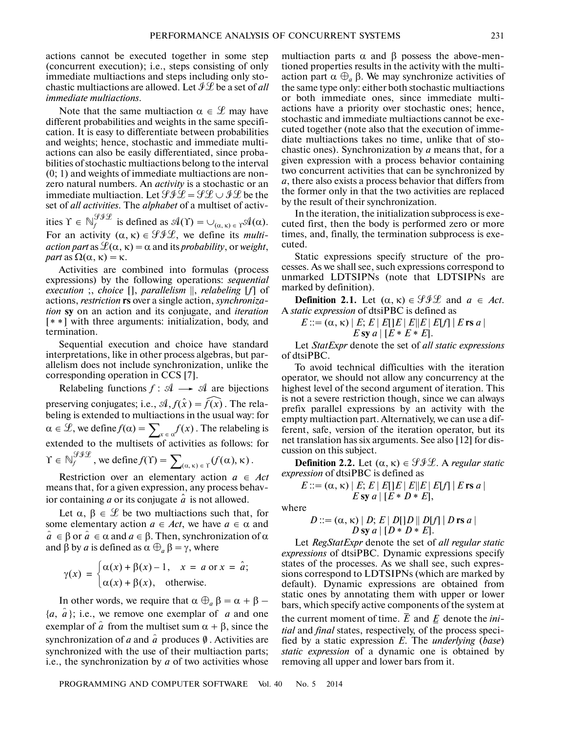actions cannot be executed together in some step (concurrent execution); i.e., steps consisting of only immediate multiactions and steps including only sto chastic multiactions are allowed. Let  $\mathcal{IL}$  be a set of *all immediate multiactions*.

Note that the same multiaction  $\alpha \in \mathcal{L}$  may have different probabilities and weights in the same specifi cation. It is easy to differentiate between probabilities and weights; hence, stochastic and immediate multi actions can also be easily differentiated, since proba bilities of stochastic multiactions belong to the interval (0; 1) and weights of immediate multiactions are non zero natural numbers. An *activity* is a stochastic or an immediate multiaction. Let  $\mathcal{GIL} = \mathcal{GIL} \cup \mathcal{IL}$  be the set of *all activities*. The *alphabet* of a multiset of activ-

ities  $\Upsilon \in \mathbb{N}_f^{\mathcal{Y}\mathcal{Y}\mathcal{X}}$  is defined as  $\mathcal{A}(\Upsilon) = \cup_{(\alpha,\kappa) \in \Upsilon} \mathcal{A}(\alpha)$ . For an activity  $(\alpha, \kappa) \in \mathcal{GIL}$ , we define its *multi*- $\alpha$ *action part* as  $\mathcal{L}(\alpha, \kappa) = \alpha$  and its *probability*, or *weight*, *part* as  $\Omega(\alpha, \kappa) = \kappa$ . GIL

Activities are combined into formulas (process expressions) by the following operations: *sequential execution* ;, *choice* [], *parallelism* ||, *relabeling* [*f*] of actions, *restriction* **rs** over a single action, *synchroniza tion* **sy** on an action and its conjugate, and *iteration* [∗ ∗] with three arguments: initialization, body, and termination.

Sequential execution and choice have standard interpretations, like in other process algebras, but par allelism does not include synchronization, unlike the corresponding operation in CCS [7].

Relabeling functions  $f: \mathcal{A} \longrightarrow \mathcal{A}$  are bijections preserving conjugates; i.e.,  $\mathcal{A}, f(\hat{x}) = \widehat{f(x)}$ . The relabeling is extended to multiactions in the usual way: for  $\alpha \in \mathcal{L}$ , we define  $f(\alpha) = \sum_{x \in \mathcal{A}} f(x)$ . The relabeling is extended to the multisets of activities as follows: for  $\Upsilon \in \mathbb{N}^{\mathcal{G}\mathcal{G}\mathcal{L}}_f$ , we define  $f(\Upsilon) = \sum_{(\alpha,\kappa) \in \Upsilon} (f(\alpha), \kappa)$ .  $\sum_{x \in \alpha} f(x)$ 

Restriction over an elementary action  $a \in Act$ means that, for a given expression, any process behav ior containing *a* or its conjugate  $\hat{a}$  is not allowed.

Let  $\alpha$ ,  $\beta \in \mathcal{L}$  be two multiactions such that, for some elementary action  $a \in Act$ , we have  $a \in \alpha$  and  $\hat{a} \in \beta$  or  $\hat{a} \in \alpha$  and  $a \in \beta$ . Then, synchronization of  $\alpha$ and β by *a* is defined as  $\alpha \oplus_{a} \beta = \gamma$ , where

$$
\gamma(x) = \begin{cases} \alpha(x) + \beta(x) - 1, & x = a \text{ or } x = \hat{a}; \\ \alpha(x) + \beta(x), & \text{otherwise.} \end{cases}
$$

In other words, we require that  $\alpha \oplus_{a} \beta = \alpha + \beta$  ${a, \hat{a}}$ ; i.e., we remove one exemplar of *a* and one exemplar of  $\hat{a}$  from the multiset sum  $\alpha + \beta$ , since the synchronization of *a* and  $\hat{a}$  produces  $\emptyset$  . Activities are synchronized with the use of their multiaction parts; i.e., the synchronization by *a* of two activities whose

multiaction parts  $\alpha$  and  $\beta$  possess the above-mentioned properties results in the activity with the multi action part  $\alpha \oplus_{\alpha} \beta$ . We may synchronize activities of the same type only: either both stochastic multiactions or both immediate ones, since immediate multi actions have a priority over stochastic ones; hence, stochastic and immediate multiactions cannot be exe cuted together (note also that the execution of immediate multiactions takes no time, unlike that of sto chastic ones). Synchronization by *a* means that, for a given expression with a process behavior containing two concurrent activities that can be synchronized by *a*, there also exists a process behavior that differs from the former only in that the two activities are replaced by the result of their synchronization.

In the iteration, the initialization subprocess is exe cuted first, then the body is performed zero or more times, and, finally, the termination subprocess is exe cuted.

Static expressions specify structure of the pro cesses. As we shall see, such expressions correspond to unmarked LDTSIPNs (note that LDTSIPNs are marked by definition).

**Definition 2.1.** Let  $(\alpha, \kappa) \in \mathcal{GJL}$  and  $a \in Act$ . A *static expression* of dtsiPBC is defined as

$$
E ::= (\alpha, \kappa) | E; E | E | E | E | E | E | E | f | | E \text{rs } a |
$$
  
 
$$
E \text{ sy } a | [E * E * E].
$$

Let *StatExpr* denote the set of *all static expressions* of dtsiPBC.

To avoid technical difficulties with the iteration operator, we should not allow any concurrency at the highest level of the second argument of iteration. This is not a severe restriction though, since we can always prefix parallel expressions by an activity with the empty multiaction part. Alternatively, we can use a dif ferent, safe, version of the iteration operator, but its net translation has six arguments. See also [12] for dis cussion on this subject.

**Definition 2.2.** Let  $(\alpha, \kappa) \in \mathcal{GIL}$ . A *regular static expression* of dtsiPBC is defined as

$$
E ::= (\alpha, \kappa) | E; E | E | E | E | E | E | E | f | | E \text{rs } a |
$$
  
 
$$
E \text{sy } a | [E * D * E],
$$

where

$$
D ::= (\alpha, \kappa) | D; E | D[|D|| D[f] | Drs a | D \text{sy } a | [D * D * E].
$$

Let *RegStatExpr* denote the set of *all regular static expressions* of dtsiPBC. Dynamic expressions specify states of the processes. As we shall see, such expres sions correspond to LDTSIPNs (which are marked by default). Dynamic expressions are obtained from static ones by annotating them with upper or lower bars, which specify active components of the system at the current moment of time.  $\overline{E}$  and  $\underline{E}$  denote the *initial* and *final* states, respectively, of the process speci fied by a static expression *E*. The *underlying* (*base*) *static expression* of a dynamic one is obtained by removing all upper and lower bars from it.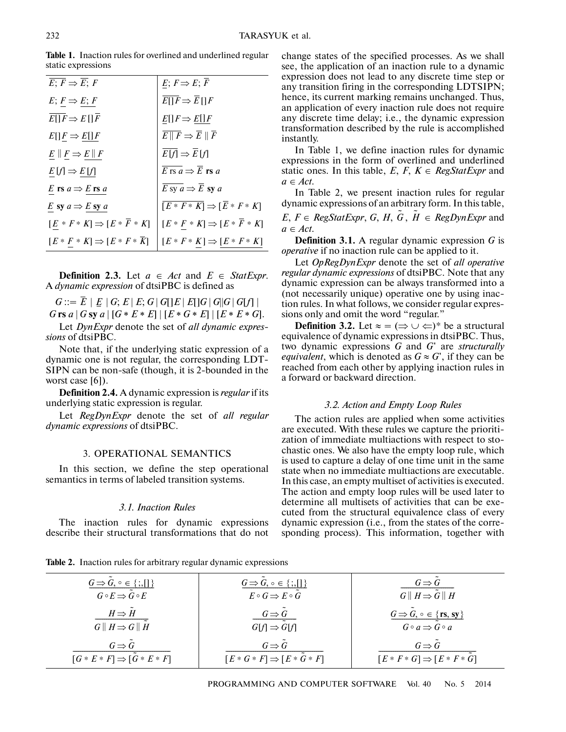$\overline{E; F} \Rightarrow \overline{E}; F$   $E; F \Rightarrow E; \overline{F}$  $E; F \Rightarrow E; F$   $\boxed{E[]F \Rightarrow E[]F}$  $E[|F \Rightarrow E[|F \Rightarrow E[|F \Rightarrow E[|F \Rightarrow E[|F \Rightarrow E[|F \Rightarrow E[|F \Rightarrow E[|F \Rightarrow E[|F \Rightarrow E[|F \Rightarrow E[|F \Rightarrow E[|F \Rightarrow E[|F \Rightarrow E[|F \Rightarrow E[|F \Rightarrow E[|F \Rightarrow E[|F \Rightarrow E[|F \Rightarrow E[|F \Rightarrow E[|F \Rightarrow E[|F \Rightarrow E[|F \Rightarrow E[|F \Rightarrow E[|F \Rightarrow E[|F \Rightarrow E[|F \Rightarrow E[|F \Rightarrow E[|F \Rightarrow E[|F \Rightarrow E[|F \Rightarrow E[|F \Rightarrow E[|F \Rightarrow E[|F \Rightarrow E[|F \Rightarrow E[|F \Rightarrow E[|F \Rightarrow E[|F$  $E[|F \Rightarrow E[|F \Rightarrow E|]$  $E \parallel F \Rightarrow E \parallel F$   $\qquad \qquad \boxed{E[f]} \Rightarrow \overline{E}[f]$  $E[f] \Rightarrow E[f]$   $\qquad \qquad$   $\boxed{E \text{rs } a \Rightarrow E}$  **rs** a *E* **rs**  $a \Rightarrow E$  **rs** *a*  $\qquad$   $\qquad$   $\qquad$   $\qquad$   $\qquad$   $\qquad$   $\qquad$   $\qquad$   $\qquad$   $\qquad$   $\qquad$   $\qquad$   $\qquad$   $\qquad$   $\qquad$   $\qquad$   $\qquad$   $\qquad$   $\qquad$   $\qquad$   $\qquad$   $\qquad$   $\qquad$   $\qquad$   $\qquad$   $\qquad$   $\qquad$   $\qquad$   $\qquad$   $\qquad$   $\qquad$   $\qquad$   $\qquad$  $E$  **sy**  $a \Rightarrow E$  **sy**  $a$   $\qquad \qquad$   $\boxed{E * F * K} \Rightarrow \boxed{E * F * K}$  $[E * F * K] \Rightarrow [E * \overline{F} * K] \mid [E * F * K] \Rightarrow [E * \overline{F} * K]$  $[E * F * K] \Rightarrow [E * F * \overline{K}] \mid [E * F * K] \Rightarrow [E * F * K]$ 

**Table 1.** Inaction rules for overlined and underlined regular static expressions

**Definition 2.3.** Let  $a \in Act$  and  $E \in StatExpr$ . A *dynamic expression* of dtsiPBC is defined as

 $G ::= \overline{E} \mid E \mid G; E \mid E; G \mid G[]E \mid E[]G \mid G[G \mid G[f]]$  $G$  **rs**  $a | G$  **sy**  $a | [G * E * E] | [E * G * E] | [E * E * G].$ 

Let *DynExpr* denote the set of *all dynamic expressions* of dtsiPBC.

Note that, if the underlying static expression of a dynamic one is not regular, the corresponding LDT- SIPN can be non-safe (though, it is 2-bounded in the worst case [6]).

**Definition 2.4.** A dynamic expression is *regular* if its underlying static expression is regular.

Let *RegDynExpr* denote the set of *all regular dynamic expressions* of dtsiPBC.

## 3. OPERATIONAL SEMANTICS

In this section, we define the step operational semantics in terms of labeled transition systems.

#### *3.1. Inaction Rules*

The inaction rules for dynamic expressions describe their structural transformations that do not change states of the specified processes. As we shall see, the application of an inaction rule to a dynamic expression does not lead to any discrete time step or any transition firing in the corresponding LDTSIPN; hence, its current marking remains unchanged. Thus, an application of every inaction rule does not require any discrete time delay; i.e., the dynamic expression transformation described by the rule is accomplished instantly.

In Table 1, we define inaction rules for dynamic expressions in the form of overlined and underlined static ones. In this table,  $E, F, K \in \text{RegStatExpr}$  and  $a \in Act$ .

In Table 2, we present inaction rules for regular dynamic expressions of an arbitrary form. In this table,

 $E, F \in \textit{RegStatexpr}, G, H, \tilde{G}, \tilde{H} \in \textit{RegDynExpr}$  and  $a \in Act$ .

**Definition 3.1.** A regular dynamic expression *G* is *operative* if no inaction rule can be applied to it.

Let *OpRegDynExpr* denote the set of *all operative regular dynamic expressions* of dtsiPBC. Note that any dynamic expression can be always transformed into a (not necessarily unique) operative one by using inac tion rules. In what follows, we consider regular expres sions only and omit the word "regular."

**Definition 3.2.** Let  $\approx$  = ( $\Rightarrow$   $\cup \Leftarrow$ )\* be a structural equivalence of dynamic expressions in dtsiPBC. Thus, two dynamic expressions *G* and *G*' are *structurally equivalent*, which is denoted as  $G \approx G'$ , if they can be reached from each other by applying inaction rules in a forward or backward direction.

#### *3.2. Action and Empty Loop Rules*

The action rules are applied when some activities are executed. With these rules we capture the prioritization of immediate multiactions with respect to sto chastic ones. We also have the empty loop rule, which is used to capture a delay of one time unit in the same state when no immediate multiactions are executable. In this case, an empty multiset of activities is executed. The action and empty loop rules will be used later to determine all multisets of activities that can be exe cuted from the structural equivalence class of every dynamic expression (i.e., from the states of the corre sponding process). This information, together with

|  |  |  | Table 2. Inaction rules for arbitrary regular dynamic expressions |
|--|--|--|-------------------------------------------------------------------|
|  |  |  |                                                                   |

| $G \Rightarrow G, \circ \in \{ ;, [] \}$  | $G \Rightarrow G, \circ \in \{ ;, [\} \}$ | $G \Rightarrow G$                          |
|-------------------------------------------|-------------------------------------------|--------------------------------------------|
| $G \circ E \Longrightarrow G \circ E$     | $E \circ G \Rightarrow E \circ G$         | $G \parallel H \Rightarrow G \parallel H$  |
| $H \Rightarrow H$                         | $G \Rightarrow G$                         | $G \Rightarrow G$ , $\circ \in \{rs, sy\}$ |
| $G \parallel H \Rightarrow G \parallel H$ | $G[f] \Rightarrow G[f]$                   | $G \circ a \Rightarrow G \circ a$          |
| $G \Rightarrow G$                         | $G \Rightarrow G$                         | $G \Rightarrow G$                          |
| $[G * E * F] \Rightarrow [G * E * F]$     | $[E * G * F] \Rightarrow [E * G * F]$     | $[E * F * G] \Rightarrow [E * F * G]$      |

PROGRAMMING AND COMPUTER SOFTWARE Vol. 40 No. 5 2014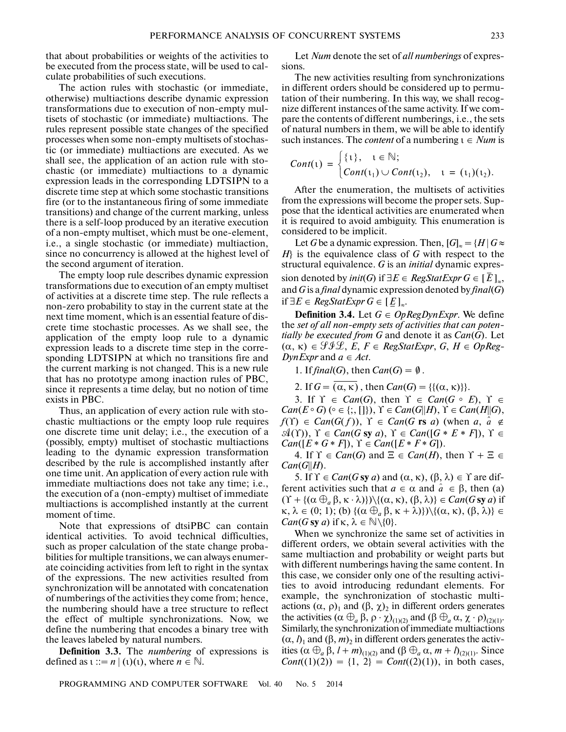that about probabilities or weights of the activities to be executed from the process state, will be used to cal culate probabilities of such executions.

The action rules with stochastic (or immediate, otherwise) multiactions describe dynamic expression transformations due to execution of non-empty mul tisets of stochastic (or immediate) multiactions. The rules represent possible state changes of the specified processes when some non-empty multisets of stochas tic (or immediate) multiactions are executed. As we shall see, the application of an action rule with sto chastic (or immediate) multiactions to a dynamic expression leads in the corresponding LDTSIPN to a discrete time step at which some stochastic transitions fire (or to the instantaneous firing of some immediate transitions) and change of the current marking, unless there is a self-loop produced by an iterative execution of a non-empty multiset, which must be one-element, i.e., a single stochastic (or immediate) multiaction, since no concurrency is allowed at the highest level of the second argument of iteration.

The empty loop rule describes dynamic expression transformations due to execution of an empty multiset of activities at a discrete time step. The rule reflects a non-zero probability to stay in the current state at the next time moment, which is an essential feature of dis crete time stochastic processes. As we shall see, the application of the empty loop rule to a dynamic expression leads to a discrete time step in the corre sponding LDTSIPN at which no transitions fire and the current marking is not changed. This is a new rule that has no prototype among inaction rules of PBC, since it represents a time delay, but no notion of time exists in PBC.

Thus, an application of every action rule with sto chastic multiactions or the empty loop rule requires one discrete time unit delay; i.e., the execution of a (possibly, empty) multiset of stochastic multiactions leading to the dynamic expression transformation described by the rule is accomplished instantly after one time unit. An application of every action rule with immediate multiactions does not take any time; i.e., the execution of a (non-empty) multiset of immediate multiactions is accomplished instantly at the current moment of time.

Note that expressions of dtsiPBC can contain identical activities. To avoid technical difficulties, such as proper calculation of the state change proba bilities for multiple transitions, we can always enumer ate coinciding activities from left to right in the syntax of the expressions. The new activities resulted from synchronization will be annotated with concatenation of numberings of the activities they come from; hence, the numbering should have a tree structure to reflect the effect of multiple synchronizations. Now, we define the numbering that encodes a binary tree with the leaves labeled by natural numbers.

**Definition 3.3.** The *numbering* of expressions is defined as  $\iota ::= n \mid (\iota)(\iota)$ , where  $n \in \mathbb{N}$ .

Let *Num* denote the set of *all numberings* of expres sions.

The new activities resulting from synchronizations in different orders should be considered up to permu tation of their numbering. In this way, we shall recog nize different instances of the same activity. If we com pare the contents of different numberings, i.e., the sets of natural numbers in them, we will be able to identify such instances. The *content* of a numbering ι ∈ *Num* is

$$
Cont(\iota) = \begin{cases} \{\iota\}, & \iota \in \mathbb{N}; \\ Cont(\iota_1) \cup Cont(\iota_2), & \iota = (\iota_1)(\iota_2). \end{cases}
$$

After the enumeration, the multisets of activities from the expressions will become the proper sets. Sup pose that the identical activities are enumerated when it is required to avoid ambiguity. This enumeration is considered to be implicit.

Let *G* be a dynamic expression. Then,  $[G]_{\approx} = \{H | G \approx$ *H*} is the equivalence class of *G* with respect to the structural equivalence. *G* is an *initial* dynamic expres sion denoted by *init*(*G*) if  $\exists E \in RegStatExpr G \in [\overline{E}]_{\approx},$ and *G* is a *final* dynamic expression denoted by *final*(*G*)  $\text{if } \exists E \in \text{RegStatExpr } G \in [\underline{E}]_{\approx}.$ 

**Definition 3.4.** Let  $G \in OpRegDynExpr$ . We define the *set of all non-empty sets of activities that can poten tially be executed from G* and denote it as *Can*(*G*). Let  $(\alpha, \kappa) \in \mathcal{GJL}, E, F \in \textit{RegStatExpr}, G, H \in \textit{OpReg-}$ *DynExpr* and  $a \in Act$ .

1. If *final*(*G*), then *Can*(*G*) =  $\emptyset$ .

2. If  $G = (\alpha, \kappa)$ , then  $Can(G) = \{\{(\alpha, \kappa)\}\}.$ 

3. If  $\Upsilon \in Can(G)$ , then  $\Upsilon \in Can(G \circ E)$ ,  $\Upsilon \in$  $Can(E \circ G) \circ \in \{\,;\,\{\}\}, \Upsilon \in Can(G||H), \Upsilon \in Can(H||G),\$  $f(Y) \in Can(G(f)),$   $Y \in Can(G \text{ rs } a)$  (when  $a, \hat{a} \notin$  $\mathcal{A}(Y)$ ),  $Y \in Can(G \text{ sy } a)$ ,  $Y \in Can([G * E * F])$ ,  $Y \in$  $Can([E * G * F]), Y \in Can([E * F * G]).$ 

4. If  $\Upsilon \in \text{Can}(G)$  and  $\Xi \in \text{Can}(H)$ , then  $\Upsilon + \Xi \in$  $Can(G||H).$ 

5. If  $\Upsilon$   $\in$  *Can*(*G* sy *a*) and (α, κ), (β, λ)  $\in$   $\Upsilon$  are different activities such that  $a \in \alpha$  and  $\hat{a} \in \beta$ , then (a)  $(Y + {\alpha \oplus_{a} \beta, \kappa \cdot \lambda})\}\$   $({\alpha, \kappa), (\beta, \lambda)} \in Can(G$  sy *a*) if  $\kappa, \lambda \in (0, 1)$ ; (b)  $\{(\alpha \oplus_{\alpha} \beta, \kappa + \lambda)\}\setminus \{(\alpha, \kappa), (\beta, \lambda)\}\in$  $Can(G \text{ sy } a) \text{ if } \kappa, \lambda \in \mathbb{N} \backslash \{0\}.$ 

When we synchronize the same set of activities in different orders, we obtain several activities with the same multiaction and probability or weight parts but with different numberings having the same content. In this case, we consider only one of the resulting activi ties to avoid introducing redundant elements. For example, the synchronization of stochastic multi actions  $(α, ρ)$ <sub>1</sub> and  $(β, χ)$ <sub>2</sub> in different orders generates the activities  $(\alpha \oplus_{a} \beta, \rho \cdot \chi)_{(1)(2)}$  and  $(\beta \oplus_{a} \alpha, \chi \cdot \rho)_{(2)(1)}$ . Similarly, the synchronization of immediate multiactions  $(\alpha, l)$ <sub>1</sub> and  $(\beta, m)$ <sub>2</sub> in different orders generates the activities  $(\alpha \oplus_{a} \beta, l + m)_{(1)(2)}$  and  $(\beta \oplus_{a} \alpha, m + l)_{(2)(1)}$ . Since *Cont*((1)(2)) = {1, 2} = *Cont*((2)(1)), in both cases,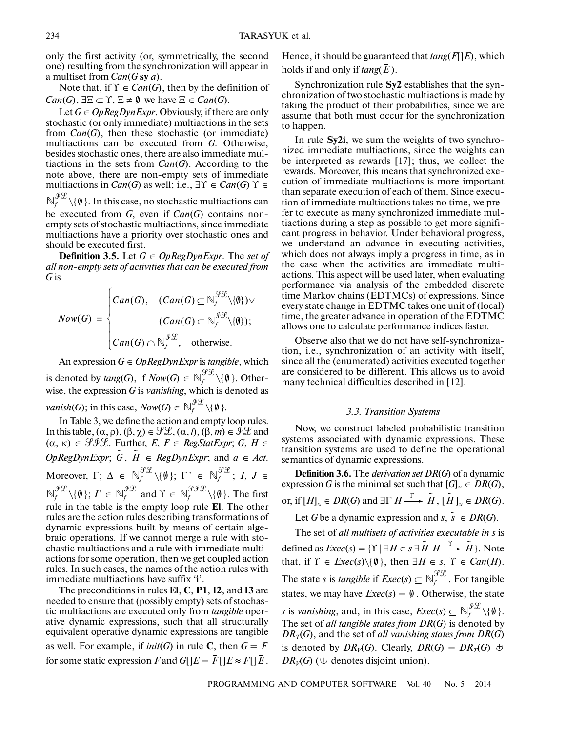only the first activity (or, symmetrically, the second one) resulting from the synchronization will appear in a multiset from *Can*(*G* **sy** *a*).

Note that, if  $\Upsilon \in Can(G)$ , then by the definition of  $Can(G), \exists \Xi \subseteq \Upsilon, \Xi \neq \emptyset$  we have  $\Xi \in Can(G).$ 

Let  $G \in OpRegDynExpr$ . Obviously, if there are only stochastic (or only immediate) multiactions in the sets from *Can*(*G*), then these stochastic (or immediate) multiactions can be executed from *G*. Otherwise, besides stochastic ones, there are also immediate mul tiactions in the sets from  $Can(G)$ . According to the note above, there are non-empty sets of immediate multiactions in *Can(G)* as well; i.e.,  $\exists Y \in Can(G) \; Y \in$ 

 $\mathbb{N}^{\mathscr{F}\mathscr{L}}_f\backslash\{\emptyset\}$ . In this case, no stochastic multiactions can be executed from *G*, even if *Can*(*G*) contains non empty sets of stochastic multiactions, since immediate multiactions have a priority over stochastic ones and should be executed first.

**Definition 3.5.** Let  $G \in OpRegDv$ *nExpr.* The *set of all non-empty sets of activities that can be executed from G* is

$$
Now(G) = \begin{cases} Can(G), & (Can(G) \subseteq \mathbb{N}_f^{\mathcal{G}\mathcal{L}} \setminus \{\emptyset\}) \vee \\ & (Can(G) \subseteq \mathbb{N}_f^{\mathcal{G}\mathcal{L}} \setminus \{\emptyset\}); \\ Can(G) \cap \mathbb{N}_f^{\mathcal{J}\mathcal{L}}, & otherwise. \end{cases}
$$

An expression  $G \in OpRegDynExpr$  is *tangible*, which is denoted by  $tang(G)$ , if  $Now(G) \in \mathbb{N}_f^{\mathcal{G} \mathcal{L}} \setminus \{\emptyset\}$ . Otherwise, the expression *G* is *vanishing*, which is denoted as *vanish*(*G*); in this case,  $Now(G) \in \mathbb{N}_f^{\mathcal{Y}\mathcal{L}}\setminus\{\emptyset\}$ .

In Table 3, we define the action and empty loop rules. In this table,  $(\alpha, \rho), (\beta, \chi) \in \mathcal{GL}, (\alpha, l), (\beta, m) \in \overline{\mathcal{IL}}$  and  $(\alpha, \kappa) \in \mathcal{GIL}$ . Further,  $E, F \in \text{RegStatExpr}; G, H \in$  $OpRegDynExpr$ ;  $\tilde{G}$ ,  $\tilde{H} \in RegDynExpr$ ; and  $a \in Act$ . Moreover,  $\Gamma$ ;  $\Delta \in \mathbb{N}_f^{\mathcal{G}\mathcal{L}} \setminus \{\emptyset\}; \ \Gamma' \in \mathbb{N}_f^{\mathcal{G}\mathcal{L}}; I, J \in$  $\{ \emptyset_j^{\mathcal{G}\mathcal{L}} \setminus \{\emptyset\};\, I'\in \mathbb{N}_f^{\mathcal{G}\mathcal{L}} \text{ and } \Upsilon \in \mathbb{N}_f^{\mathcal{G}\mathcal{G}\mathcal{L}} \setminus \{\emptyset\}. \text{ The first}$ rule in the table is the empty loop rule **El**. The other rules are the action rules describing transformations of dynamic expressions built by means of certain alge braic operations. If we cannot merge a rule with sto chastic multiactions and a rule with immediate multi actions for some operation, then we get coupled action rules. In such cases, the names of the action rules with immediate multiactions have suffix '**i**'. SL

The preconditions in rules **El**, **C**, **P1**, **I2**, and **I3** are needed to ensure that (possibly empty) sets of stochas tic multiactions are executed only from *tangible* oper ative dynamic expressions, such that all structurally equivalent operative dynamic expressions are tangible as well. For example, if *init*(*G*) in rule **C**, then  $G = \overline{F}$ for some static expression *F* and  $G[$   $]E = \overline{F}$   $[$   $]E \approx F[$   $]$   $\overline{E}$  .

Hence, it should be guaranteed that *tang*(*F*[]*E*), which holds if and only if *tang*( $\overline{E}$ ).

Synchronization rule **Sy2** establishes that the syn chronization of two stochastic multiactions is made by taking the product of their probabilities, since we are assume that both must occur for the synchronization to happen.

In rule **Sy2i**, we sum the weights of two synchro nized immediate multiactions, since the weights can be interpreted as rewards [17]; thus, we collect the rewards. Moreover, this means that synchronized exe cution of immediate multiactions is more important than separate execution of each of them. Since execu tion of immediate multiactions takes no time, we pre fer to execute as many synchronized immediate mul tiactions during a step as possible to get more signifi cant progress in behavior. Under behavioral progress, we understand an advance in executing activities, which does not always imply a progress in time, as in the case when the activities are immediate multi actions. This aspect will be used later, when evaluating performance via analysis of the embedded discrete time Markov chains (EDTMCs) of expressions. Since every state change in EDTMC takes one unit of (local) time, the greater advance in operation of the EDTMC allows one to calculate performance indices faster.

Observe also that we do not have self-synchroniza tion, i.e., synchronization of an activity with itself, since all the (enumerated) activities executed together are considered to be different. This allows us to avoid many technical difficulties described in [12].

#### *3.3. Transition Systems*

Now, we construct labeled probabilistic transition systems associated with dynamic expressions. These transition systems are used to define the operational semantics of dynamic expressions.

**Definition 3.6.** The *derivation set DR*(*G*) of a dynamic expression *G* is the minimal set such that  $[G]_{\approx} \in DR(G)$ , or, if  $[H]_{\approx} \in DR(G)$  and  $\exists \Gamma \; H \xrightarrow{\Gamma} \tilde{H}$ ,  $[\tilde{H}]_{\approx} \in DR(G)$ . Let *G* be a dynamic expression and  $s, \tilde{s} \in DR(G)$ . The set of *all multisets of activities executable in s* is defined as  $Exec(s) = \{Y \mid \exists H \in s \exists \tilde{H} \ H \xrightarrow{Y} \tilde{H} \}$ . Note

that, if  $\Upsilon \in \text{Exec}(s) \setminus \{ \emptyset \}$ , then  $\exists H \in s, \Upsilon \in \text{Can}(H)$ . The state *s* is *tangible* if  $Exec(s) \subseteq N_f^{\mathcal{Y}\mathcal{L}}$ . For tangible states, we may have  $Exec(s) = \emptyset$ . Otherwise, the state *s* is *vanishing*, and, in this case,  $Exec(s) \subseteq \mathbb{N}^{\mathcal{G}\mathcal{L}}_f \setminus \{\emptyset\}.$ The set of *all tangible states from DR*(*G*) is denoted by  $DR_T(G)$ , and the set of *all vanishing states from*  $DR(G)$ is denoted by  $DR_V(G)$ . Clearly,  $DR(G) = DR_T(G) \ \ \forall$  $DR<sub>V</sub>(G)$  ( $\uplus$  denotes disjoint union). PL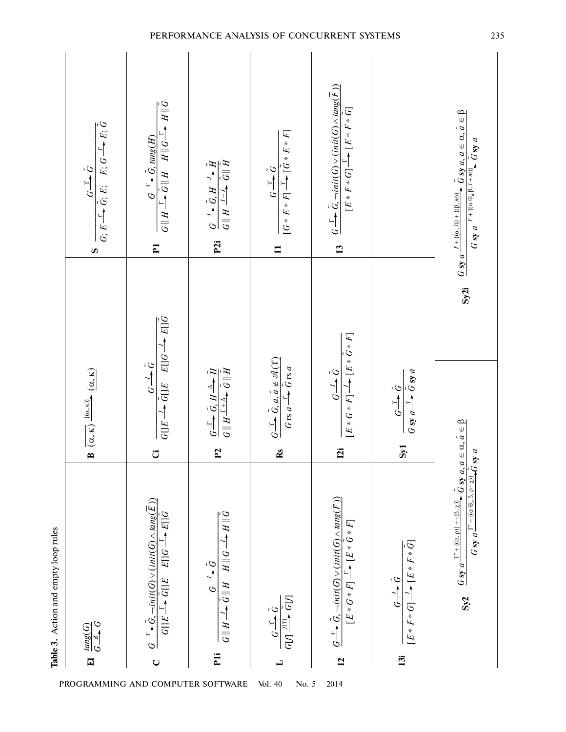|                                      | S<br>$G; E \xrightarrow{X} G; E; E; G \xrightarrow{Y} E; G$<br>$\widetilde{G\stackrel{\Upsilon}{\longrightarrow}\widetilde{G}}$ | $G  H - \tilde{G}  H - H  G - H  G$<br>$G \stackrel{\Gamma}{\longrightarrow} \tilde{G}$ , tang $(H)$<br>$\overline{\mathbf{P}}$                                                                                                  | P2i $\frac{G \rightarrow G}{G \parallel H} \xrightarrow{I + J} \frac{\widetilde{H}}{G \parallel H}$                                                                       | $[G * E * F] \xrightarrow{I} [G * E * F]$<br>$G \xrightarrow{\Upsilon} \tilde{G}$<br>$\blacksquare$                                                               | <b>13</b> $G \longrightarrow \tilde{G}$ , $\neg init(G) \vee (init(G) \wedge tang(\overline{F}))$<br>$[E* F* G] \xrightarrow{\Gamma} [E* F* G]$                  |                                                                                               | $G$ sy $a \frac{I + \{(a, l)\} + \{(b, m)\}}{I}$ $\tilde{G}$ sy $a, a \in \alpha, \hat{a} \in \beta$<br>$G$ sy $a \xrightarrow{I + \{(\alpha \oplus_a \beta, 1 + m)\}} \tilde{G}$ sy $a$             |
|--------------------------------------|---------------------------------------------------------------------------------------------------------------------------------|----------------------------------------------------------------------------------------------------------------------------------------------------------------------------------------------------------------------------------|---------------------------------------------------------------------------------------------------------------------------------------------------------------------------|-------------------------------------------------------------------------------------------------------------------------------------------------------------------|------------------------------------------------------------------------------------------------------------------------------------------------------------------|-----------------------------------------------------------------------------------------------|------------------------------------------------------------------------------------------------------------------------------------------------------------------------------------------------------|
|                                      | <b>B</b> $\overline{(a,\kappa)} \xrightarrow{\{(a,\kappa)\}} (a,\kappa)$                                                        | $G\left[\right]E \xrightarrow{I} \widetilde{G}\left[\right]E$ $E\left[\right]G \xrightarrow{I} E\left[\right]G$<br>$G \xrightarrow{I} G$<br>ö                                                                                    | $\frac{G}{\widetilde{H}} \frac{\widetilde{G}}{1 + \widetilde{G}} \frac{H}{H} \stackrel{\triangle}{\longrightarrow} \frac{\widetilde{H}}{1 + \widetilde{G}}$<br>P2         | $\frac{G \xrightarrow{\Upsilon} \tilde{G}, a, \hat{a} \notin \mathcal{A}(Y)}{G \operatorname{fs} a \xrightarrow{\Upsilon} G \operatorname{fs} a}$<br>$\mathbf{R}$ | $\boxed{[E*G*F]\xrightarrow{I} [E*G*F]}$<br>$G \xrightarrow{I} G$<br><u>12i</u>                                                                                  | $G$ sy $a \xrightarrow{\Upsilon} G$ sy $a$<br>$\frac{1}{2} \sum_{k=1}^{n}$<br>Sy <sub>1</sub> | Sy2i<br>$a \in \alpha, \hat{a} \in \beta$<br>$\sigma$ As                                                                                                                                             |
| Table 3. Action and empty loop rules | $\frac{tang(G)}{G \xrightarrow{\theta} G}$<br>$\Xi$                                                                             | $G \longrightarrow \tilde{G}, \neg ini(G) \vee (init(G) \wedge tang(\overline{E}))$<br>$G[\begin{bmatrix} E & -E & E \end{bmatrix} G & E[\begin{bmatrix} G & -E \end{bmatrix}] G$<br>$\cup$<br>PROGRAMMING AND COMPUTER SOFTWARE | $\frac{1}{2}$ $\parallel$ $\frac{1}{2}$<br>$H \parallel G$<br>$G \longrightarrow \tilde{G}$<br>$\overline{B}$ = $\overline{C}$ = $\overline{H}$<br>$G \parallel H$<br>Fii | GL<br>$G \xrightarrow{\Upsilon} \tilde{G}$<br>$G[f] \xrightarrow{f(\overline{f})}$<br>ᆜ<br>Vol. 40<br>No. 5                                                       | $\frac{\Gamma}{\sim} \tilde{G}$ , $\frac{-init(G) \vee (init(G) \wedge tang(G))}{\Gamma}$<br>$\mathbb{F}$<br>$E * G *$<br>$[E*G*F]$<br>G<br>$\mathbf{L}$<br>2014 | $[E * F * G]$<br>$\tilde{G}$<br>$*F*G$<br>$\tilde{C}$<br>E<br><b>13i</b>                      | ५<br>$\overline{G}$ sy $a \frac{\Gamma^* + \{(\alpha, \rho)\} + \{(\beta, \chi)\}}{\Gamma} \widetilde{G}$ sy a,<br>$G$ sy $a \frac{\Gamma + \{(\alpha \oplus_a \beta, \rho \cdot \chi)\}}{L}$<br>Sy2 |

235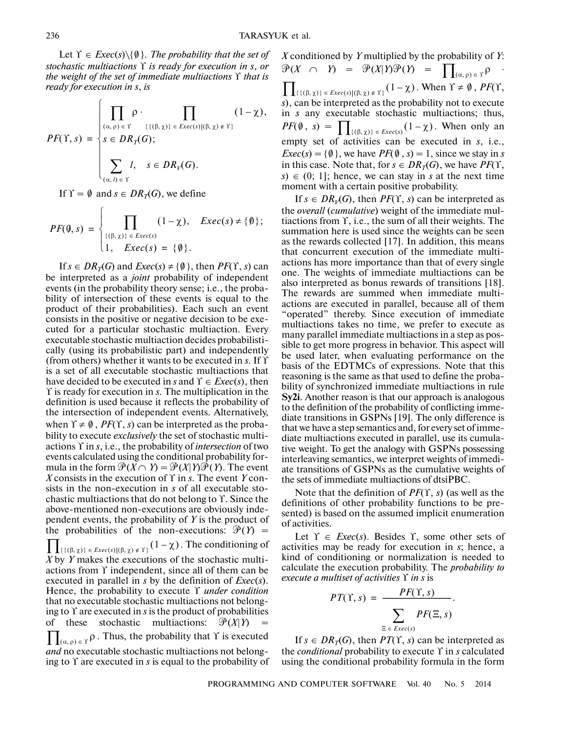Let  $\Upsilon \in \text{Exec}(s) \setminus \{\emptyset\}$ . *The probability that the set of stochastic multiactions* ϒ *is ready for execution in s*, *or the weight of the set of immediate multiactions* ϒ *that is ready for execution in s*, *is*

$$
PF(\Upsilon, s) = \begin{cases} \prod_{(\alpha, \rho) \in \Upsilon} \rho \cdot \prod_{\{(\beta, \chi)\} \in \text{Exec}(s) | (\beta, \chi) \notin \Upsilon\}} (1 - \chi), \\ s \in DR_T(G); \\ \sum_{(\alpha, l) \in \Upsilon} l, \quad s \in DR_V(G). \end{cases}
$$

If  $\Upsilon = \emptyset$  and  $s \in DR_T(G)$ , we define

 $\epsilon$ 

$$
PF(\emptyset, s) = \begin{cases} \prod_{\{(\beta, \chi)\}\in \text{Exec}(s)} (1-\chi), & \text{Exec}(s) \neq \{\emptyset\}; \\ 1, & \text{Exec}(s) = \{\emptyset\}. \end{cases}
$$

If  $s \in DR_T(G)$  and  $Exec(s) \neq \{ \emptyset \}$ , then  $PF(\Upsilon, s)$  can be interpreted as a *joint* probability of independent events (in the probability theory sense; i.e., the proba bility of intersection of these events is equal to the product of their probabilities). Each such an event consists in the positive or negative decision to be exe cuted for a particular stochastic multiaction. Every executable stochastic multiaction decides probabilisti cally (using its probabilistic part) and independently (from others) whether it wants to be executed in *s*. If ϒ is a set of all executable stochastic multiactions that have decided to be executed in *s* and  $\Upsilon \in \text{Exec}(s)$ , then ϒ is ready for execution in *s*. The multiplication in the definition is used because it reflects the probability of the intersection of independent events. Alternatively, when  $\Upsilon \neq \emptyset$ , *PF*( $\Upsilon$ , *s*) can be interpreted as the probability to execute *exclusively* the set of stochastic multi actions ϒ in *s*, i.e., the probability of *intersection* of two events calculated using the conditional probability for mula in the form  $\mathcal{P}(X \cap Y) = \mathcal{P}(X|Y)\mathcal{P}(Y)$ . The event *X* consists in the execution of ϒ in *s*. The event *Y* con sists in the non-execution in *s* of all executable sto chastic multiactions that do not belong to ϒ. Since the above-mentioned non-executions are obviously inde pendent events, the probability of *Y* is the product of the probabilities of the non-executions:  $\mathcal{P}(Y) =$  $\prod_{\{\{(\beta,\chi)\}\in\text{Exec}(s)|(\beta,\chi)\notin\Upsilon\}}(1-\chi)$ . The conditioning of *X* by *Y* makes the executions of the stochastic multi actions from ϒ independent, since all of them can be executed in parallel in *s* by the definition of *Exec*(*s*). Hence, the probability to execute Υ *under condition* that no executable stochastic multiactions not belong ing to ϒ are executed in *s* is the product of probabilities of these stochastic multiactions:  $\mathcal{P}(X|Y)$  $\prod_{(\alpha,\rho) \in \Upsilon} \rho$ . Thus, the probability that  $\Upsilon$  is executed *and* no executable stochastic multiactions not belong ing to ϒ are executed in *s* is equal to the probability of *X* conditioned by *Y* multiplied by the probability of *Y*:  $\mathcal{P}(X \cap Y) = \mathcal{P}(X|Y)\mathcal{P}(Y) = \prod_{(\alpha,\rho) \in Y} \rho$  $\prod_{\{\{(\beta,\chi)\}\in\text{Exec}(s)|(\beta,\chi)\notin\Upsilon\}}(1-\chi)$ . When  $\Upsilon\neq\emptyset$ , *PF*( $\Upsilon$ , *s*), can be interpreted as the probability not to execute in *s* any executable stochastic multiactions; thus,  $PF(\emptyset, s) = \prod_{\{(\beta, \chi)\}\in \text{Exec}(s)} (1-\chi)$ . When only an empty set of activities can be executed in *s*, i.e.,  $Exec(s) = \{\emptyset\}$ , we have  $PF(\emptyset, s) = 1$ , since we stay in *s* in this case. Note that, for  $s \in DR_T(G)$ , we have  $PF(\Upsilon)$ ,  $s$ )  $\in$  (0; 1]; hence, we can stay in *s* at the next time moment with a certain positive probability.

If  $s \in DR_v(G)$ , then  $PF(Y, s)$  can be interpreted as the *overall* (*cumulative*) weight of the immediate mul tiactions from  $\Upsilon$ , i.e., the sum of all their weights. The summation here is used since the weights can be seen as the rewards collected [17]. In addition, this means that concurrent execution of the immediate multi actions has more importance than that of every single one. The weights of immediate multiactions can be also interpreted as bonus rewards of transitions [18]. The rewards are summed when immediate multi actions are executed in parallel, because all of them "operated" thereby. Since execution of immediate multiactions takes no time, we prefer to execute as many parallel immediate multiactions in a step as pos sible to get more progress in behavior. This aspect will be used later, when evaluating performance on the basis of the EDTMCs of expressions. Note that this reasoning is the same as that used to define the proba bility of synchronized immediate multiactions in rule **Sy2i**. Another reason is that our approach is analogous to the definition of the probability of conflicting imme diate transitions in GSPNs [19]. The only difference is that we have a step semantics and, for every set of imme diate multiactions executed in parallel, use its cumula tive weight. To get the analogy with GSPNs possessing interleaving semantics, we interpret weights of immedi ate transitions of GSPNs as the cumulative weights of the sets of immediate multiactions of dtsiPBC.

Note that the definition of *PF*(ϒ, *s*) (as well as the definitions of other probability functions to be pre sented) is based on the assumed implicit enumeration of activities.

Let  $\Upsilon \in \text{Exec}(s)$ . Besides  $\Upsilon$ , some other sets of activities may be ready for execution in *s*; hence, a kind of conditioning or normalization is needed to calculate the execution probability. The *probability to execute a multiset of activities* ϒ *in s* is

$$
PT(\Upsilon, s) = \frac{PF(\Upsilon, s)}{\sum_{\Xi \in \text{Exec}(s)} PF(\Xi, s)}.
$$

If  $s \in DR_T(G)$ , then  $PT(Y, s)$  can be interpreted as the *conditional* probability to execute ϒ in *s* calculated using the conditional probability formula in the form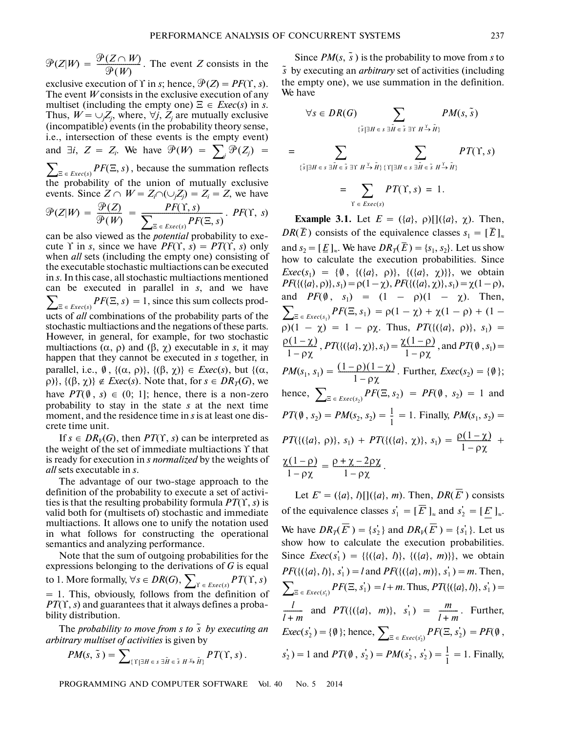$$
\mathcal{P}(Z|W) = \frac{\mathcal{P}(Z \cap W)}{\mathcal{P}(W)}
$$
. The event Z consists in the exclusive execution of Y in s; hence,  $\mathcal{P}(Z) = PF(Y, s)$ . The event W consists in the exclusive execution of any multiset (including the empty one)  $\Xi \in Excel(s)$  in s.  
Thus,  $W = \bigcup_j Z_j$ , where,  $\forall j$ ,  $Z_j$  are mutually exclusive (incompatible) events (in the probability theory sense, i.e., intersection of these events is the empty event) and  $\exists i$ ,  $Z = Z_i$ . We have  $\mathcal{P}(W) = \sum_j \mathcal{P}(Z_j) = \sum_{\Xi \in Excel(s)} PF(\Xi, s)$ , because the summation reflects the probability of the union of mutually exclusive events. Since  $Z \cap W = Z_i \cap (\bigcup_j Z_j) = Z_i = Z$ , we have  $\mathcal{P}(Z|W) = \frac{\mathcal{P}(Z)}{\mathcal{P}(W)} = \frac{PF(Y, s)}{\sum_{\Xi \in Excel(s)} PF(\Xi, s)} \cdot PF(Y, s)$ 

can be also viewed as the *potential* probability to exe cute  $\Upsilon$  in *s*, since we have  $PF(\Upsilon, s) = PT(\Upsilon, s)$  only when *all* sets (including the empty one) consisting of the executable stochastic multiactions can be executed in *s*. In this case, all stochastic multiactions mentioned can be executed in parallel in *s*, and we have  $\sum_{\Xi \in \text{Exec}(s)} PF(\Xi, s) = 1$ , since this sum collects products of *all* combinations of the probability parts of the stochastic multiactions and the negations of these parts. However, in general, for example, for two stochastic multiactions  $(\alpha, \rho)$  and  $(\beta, \chi)$  executable in *s*, it may happen that they cannot be executed in *s* together, in parallel, i.e.,  $\emptyset$ ,  $\{(\alpha, \rho)\}, \{(\beta, \chi)\}\in \text{Exec}(s)$ , but  $\{(\alpha, \rho)\}$  $\rho$ },  $\{(\beta, \gamma)\}\notin \text{Exec}(s)$ . Note that, for  $s \in DR_T(G)$ , we have  $PT(\emptyset, s) \in (0; 1]$ ; hence, there is a non-zero probability to stay in the state *s* at the next time moment, and the residence time in *s* is at least one dis crete time unit.

If  $s \in DR_V(G)$ , then  $PT(Y, s)$  can be interpreted as the weight of the set of immediate multiactions  $\Upsilon$  that is ready for execution in *s normalized* by the weights of *all* sets executable in *s*.

The advantage of our two-stage approach to the definition of the probability to execute a set of activi ties is that the resulting probability formula *PT*(ϒ, *s*) is valid both for (multisets of) stochastic and immediate multiactions. It allows one to unify the notation used in what follows for constructing the operational semantics and analyzing performance.

Note that the sum of outgoing probabilities for the expressions belonging to the derivations of *G* is equal to 1. More formally,  $\forall s \in DR(G), \sum_{\Upsilon \in \text{Exec}(s)} PT(\Upsilon, s)$ = 1. This, obviously, follows from the definition of *PT*(ϒ, *s*) and guarantees that it always defines a proba bility distribution.

The *probability to move from*  $s$  *to*  $\tilde{s}$  *by executing an arbitrary multiset of activities* is given by

$$
PM(s, \tilde{s}) = \sum_{\{\Upsilon \mid \exists H \in s \exists \tilde{H} \in \tilde{s} \ H \perp \tilde{s} \ H\}} PT(\Upsilon, s).
$$

PROGRAMMING AND COMPUTER SOFTWARE Vol. 40 No. 5 2014

Since  $PM(s, \tilde{s})$  is the probability to move from *s* to  $\tilde{s}$  by executing an *arbitrary* set of activities (including the empty one), we use summation in the definition. We have

$$
\forall s \in DR(G)
$$
\n
$$
\sum_{\{\tilde{s} \mid \exists H \in s \exists \tilde{H} \in \tilde{s} \exists \Upsilon \ H^{\perp} \neq \tilde{H}\}} PM(s, \tilde{s})
$$
\n
$$
= \sum_{\{\tilde{s} \mid \exists H \in s \exists \tilde{H} \in \tilde{s} \exists \Upsilon \ H^{\perp} \neq \tilde{H}\}} \sum_{\{\Upsilon \mid \exists H \in s \exists \tilde{H} \in \tilde{s} \ H^{\perp} \neq \tilde{H}\}} PT(\Upsilon, s)
$$
\n
$$
= \sum_{\{\tilde{s} \mid \tilde{s} \in \tilde{s} \ H^{\perp} \neq \tilde{H}\}} PT(\Upsilon, s) = 1.
$$

 $\Upsilon \in \overline{Exec(s)}$ 

**Example 3.1.** Let  $E = (\{a\}, \rho) [](\{a\}, \gamma)$ . Then, *DR*( $\overline{E}$ ) consists of the equivalence classes  $s_1 = [\overline{E}]_{\approx}$ and  $s_2 = [E]_{\approx}$ . We have  $DR_T(\overline{E}) = \{s_1, s_2\}$ . Let us show how to calculate the execution probabilities. Since *Exec*(*s*<sub>1</sub>) = { $\emptyset$ , {({*a*},  $\rho$ )}, {({*a*},  $\chi$ )}}, we obtain  $PF({{(a}, \rho)}, s_1) = \rho(1-\chi), PF({{(a}, \chi)}, s_1) = \chi(1-\rho),$ and  $PF(\emptyset, s_1) = (1 - \rho)(1 - \chi)$ . Then, =  $\rho(1-\chi) + \chi(1-\rho) + (1-\phi)$  $\rho$ )(1 –  $\chi$ ) = 1 –  $\rho \chi$ . Thus,  $PT(\{(a), \rho)\}, s_1)$  =  $\frac{\rho(1-\chi)}{1-\rho\chi}$ ,  $PT(\{(\{a\},\chi)\},s_1) = \frac{\chi(1-\rho)}{1-\rho\chi}$ , and  $PT(\emptyset, s_1) =$  $PM(s_1, s_1) = \frac{(1 - \rho)(1 - \chi)}{1 - \rho\chi}$ . Further, *Exec*(*s*<sub>2</sub>) = { $\emptyset$ }; hence,  $\sum_{\Xi \in \text{Exec}(s_2)} PF(\Xi, s_2) = PF(\emptyset, s_2) = 1$  and  $PT(\emptyset, s_2) = PM(s_2, s_2) = \frac{1}{1} = 1$ . Finally,  $PM(s_1, s_2) =$  $PT(\{(\{a\}, \rho)\}, s_1) + PT(\{(\{a\}, \chi)\}, s_1) = \frac{\rho(1-\chi)}{1-\rho\chi} +$  $\frac{\chi(1-\rho)}{1-\rho\chi} = \frac{\rho+\chi-2\rho\chi}{1-\rho\chi}.$  $\sum_{\Xi \in \text{Exec}(s_1)} PF(\Xi, s_1)$ 

Let  $E' = (\{a\}, l) [](\{a\}, m)$ . Then,  $DR(E')$  consists of the equivalence classes  $s'_1 = [E']_*$  and  $s'_2 = [E']_*$ . We have  $DR_T(E') = \{s_2\}$  and  $DR_V(E') = \{s_1'\}$ . Let us show how to calculate the execution probabilities. Since  $Exec(s'_1) = \{ \{ (\{a\}, b) \}, \{ (\{a\}, m) \} \}$ , we obtain  $PF({\{(a, l), l\}, s'_1) = l \text{ and } PF({\{(a, m)\}, s'_1) = m. \text{ Then,}}$  $\sum_{\Xi \in \text{Exec}(s_1)} PF(\Xi, s_1') = l + m$ . Thus,  $PT(\{(a), l), s_1'$ ) = *l* and  $PT(\{(a), m)\}, s'_1) = \frac{m}{b}$ . Further,  $Exec(s'_2) = \{\emptyset\}; \text{hence, } \sum_{\Xi \in Exercise(s'_2)} PF(\Xi, s'_2) = PF(\emptyset,$  $(s'_2) = 1$  and  $PT(\emptyset, s'_2) = PM(s'_2, s'_2) = \frac{1}{1} = 1$ . Finally, *l m*+  $\frac{l}{l+m}$  and  $PT(\{(a), m)\}, s'_1) = \frac{m}{l+m}$ *l m*+  $\frac{m}{\cdot}$  $\frac{1}{1}$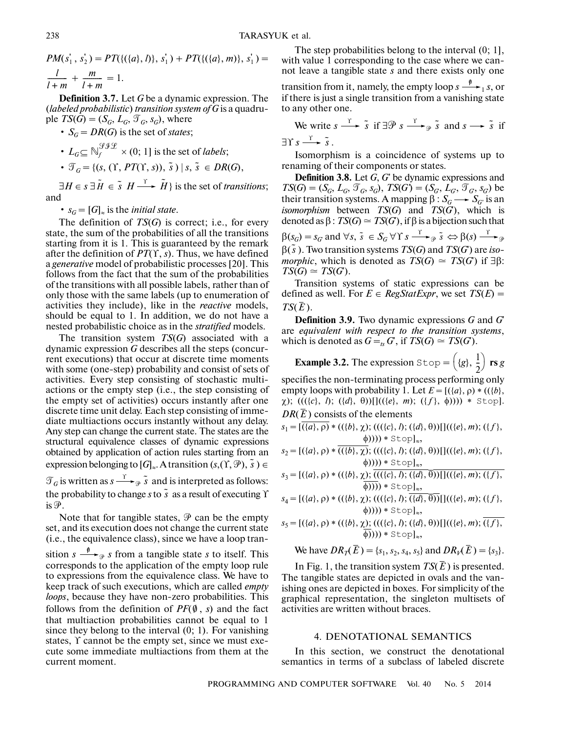to any other one.

$$
PM(s'_1, s'_2) = PT(\{(\{a\}, b)\}, s'_1) + PT(\{(\{a\}, m)\}, s'_1) = \frac{l}{l+m} + \frac{m}{l+m} = 1.
$$

**Definition 3.7.** Let *G* be a dynamic expression. The (*labeled probabilistic*) *transition system of G* is a quadru ple  $TS(G) = (S_G, L_G, \mathcal{T}_G, s_G)$ , where

•  $S_G = DR(G)$  is the set of *states*;

• 
$$
L_G \subseteq \mathbb{N}_f^{\mathcal{G} \mathcal{G} \mathcal{L}} \times (0; 1]
$$
 is the set of *labels*;

• 
$$
\mathcal{T}_G = \{ (s, (\Upsilon, PT(\Upsilon, s)), \tilde{s}) | s, \tilde{s} \in DR(G), \}
$$

 $\exists H \in s \exists \tilde{H} \in \tilde{s}$   $H \longrightarrow \tilde{H}$  is the set of *transitions*; and

•  $s_G = [G]_{\approx}$  is the *initial state*.

The definition of *TS*(*G*) is correct; i.e., for every state, the sum of the probabilities of all the transitions starting from it is 1. This is guaranteed by the remark after the definition of *PT*(ϒ, *s*). Thus, we have defined a *generative* model of probabilistic processes [20]. This follows from the fact that the sum of the probabilities of the transitions with all possible labels, rather than of only those with the same labels (up to enumeration of activities they include), like in the *reactive* models, should be equal to 1. In addition, we do not have a nested probabilistic choice as in the *stratified* models.

The transition system *TS*(*G*) associated with a dynamic expression *G* describes all the steps (concur rent executions) that occur at discrete time moments with some (one-step) probability and consist of sets of activities. Every step consisting of stochastic multi actions or the empty step (i.e., the step consisting of the empty set of activities) occurs instantly after one discrete time unit delay. Each step consisting of imme diate multiactions occurs instantly without any delay. Any step can change the current state. The states are the structural equivalence classes of dynamic expressions obtained by application of action rules starting from an expression belonging to  $[G]_{\approx}$ . A transition  $(s,(\Upsilon,\mathcal{P}),\tilde{s}) \in$ 

 $\mathcal{T}_G$  is written as  $s \xrightarrow{\gamma} \tilde{s}$  and is interpreted as follows: the probability to change *s* to  $\tilde{s}$  as a result of executing  $\Upsilon$ is  $\mathcal{P}$ .

Note that for tangible states,  $\mathcal P$  can be the empty set, and its execution does not change the current state (i.e., the equivalence class), since we have a loop tran sition  $s \xrightarrow{\phi} s$  from a tangible state *s* to itself. This corresponds to the application of the empty loop rule to expressions from the equivalence class. We have to keep track of such executions, which are called *empty loops*, because they have non-zero probabilities. This follows from the definition of  $PF(\emptyset, s)$  and the fact that multiaction probabilities cannot be equal to 1 since they belong to the interval (0; 1). For vanishing states, Y cannot be the empty set, since we must execute some immediate multiactions from them at the current moment.

The step probabilities belong to the interval (0; 1], with value 1 corresponding to the case where we can not leave a tangible state *s* and there exists only one transition from it, namely, the empty loop  $s \stackrel{\phi}{\longrightarrow} _1 s$ , or if there is just a single transition from a vanishing state

We write  $s \xrightarrow{\gamma} \tilde{s}$  if  $\exists \mathcal{P} \ s \xrightarrow{\gamma} \tilde{s}$  and  $s \longrightarrow \tilde{s}$  if  $\exists$ Y  $s \xrightarrow{Y} \tilde{s}$ .

Isomorphism is a coincidence of systems up to renaming of their components or states.

**Definition 3.8.** Let *G*, *G*' be dynamic expressions and  $TS(G) = (S_G, L_G, \mathcal{T}_G, s_G), TS(G) = (S_G, L_G, \mathcal{T}_G, s_G)$  be their transition systems. A mapping  $\beta: S_G \longrightarrow S_G$  is an *isomorphism* between *TS*(*G*) and *TS*(*G*'), which is denoted as  $\beta$  :  $TS(G) \simeq TS(G)$ , if  $\beta$  is a bijection such that  $\beta(s_G) = s_G$  and  $\forall s, \tilde{s} \in S_G \forall \Upsilon \ s \xrightarrow{\Upsilon} \ s \Leftrightarrow \beta(s) \xrightarrow{\Upsilon} \ s$  $\beta(\tilde{s})$ . Two transition systems  $TS(G)$  and  $TS(G)$  are *isomorphic*, which is denoted as  $TS(G) \approx TS(G)$  if  $\exists \beta$ :  $TS(G) \simeq TS(G)$ .

Transition systems of static expressions can be defined as well. For  $E \in RegStatExpr$ , we set  $TS(E) =$  $TS(\overline{E}).$ 

**Definition 3.9.** Two dynamic expressions *G* and *G*' are *equivalent with respect to the transition systems*, which is denoted as  $G =_{ts} G$ , if  $TS(G) \simeq TS(G)$ .

**Example 3.2.** The expression  $\text{Stop} = \left(\{g\}, \frac{1}{2}\right)$  **rs** *g*  $\int_{\mathcal{Q}} d\mathbf{r}$  1  $\frac{1}{2}$ ⎞

specifies the non-terminating process performing only empty loops with probability 1. Let  $E = \left[ (\{a\}, \rho) * ((\{b\},$ χ); ((({*c*}, *l*); ({*d*}, θ))[](({*e*}, *m*); ({ *f* }, φ)))) ∗ Stop].  $DR(\overline{E})$  consists of the elements

 $s_1 = [\overline{(\{a\}, \rho)} * ((\{b\}, \chi); (((\{c\}, b); (\{d\}, \theta))])((\{e\}, m); (\{f\},$  $(\phi$ )))) \* Stop]<sub>≈</sub>,

$$
s_2 = [(\{a\}, \rho) * \overline{((\{b\}, \chi); (((\{c\}, l); (\{d\}, \theta)))]((\{e\}, m); (\{f\}, \phi)))) * \text{Stop}]_{\approx},
$$

$$
s_3 = [(\{a\}, \rho) * ((\{b\}, \chi); \overline{(((\{c\}, l); (\{d\}, \theta))[] ((\{e\}, m); (\{f\},\phi)))) * \text{Stop}]_{\approx},
$$

$$
s_4 = [(\{a\}, \rho) * ((\{b\}, \chi); (((\{c\}, l); \overline{(\{d\}, \theta)})])((\{e\}, m); (\{f\}, \phi)))) * \text{Stop}]_{\approx},
$$

$$
s_5 = [(\{a\}, \rho) * ((\{b\}, \chi); (((\{c\}, l); (\{d\}, \theta)))]((\{e\}, m); \overline{(\{f\}, l)})) * \text{Stop}]_{\approx},
$$

We have 
$$
DR_T(\overline{E}) = \{s_1, s_2, s_4, s_5\}
$$
 and  $DR_V(\overline{E}) = \{s_3\}.$ 

In Fig. 1, the transition system  $TS(\overline{E})$  is presented. The tangible states are depicted in ovals and the van ishing ones are depicted in boxes. For simplicity of the graphical representation, the singleton multisets of activities are written without braces.

## 4. DENOTATIONAL SEMANTICS

In this section, we construct the denotational semantics in terms of a subclass of labeled discrete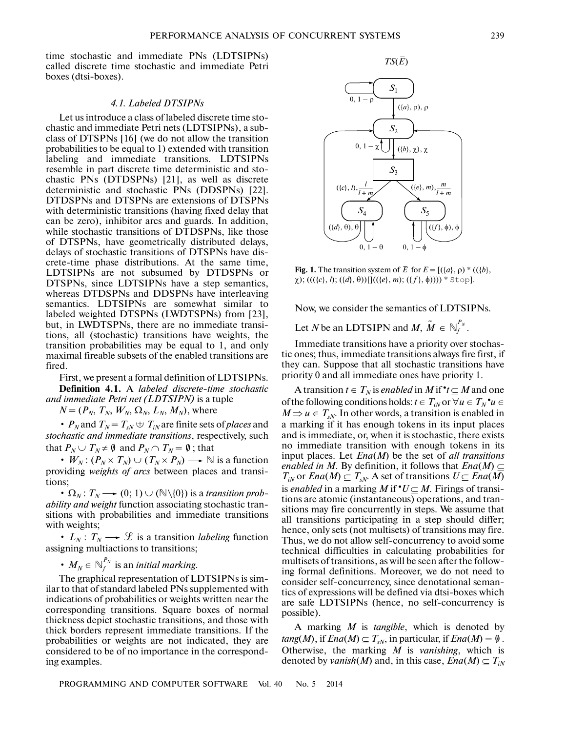time stochastic and immediate PNs (LDTSIPNs) called discrete time stochastic and immediate Petri boxes (dtsi-boxes).

## *4.1. Labeled DTSIPNs*

Let us introduce a class of labeled discrete time sto chastic and immediate Petri nets (LDTSIPNs), a sub class of DTSPNs [16] (we do not allow the transition probabilities to be equal to 1) extended with transition labeling and immediate transitions. LDTSIPNs resemble in part discrete time deterministic and sto chastic PNs (DTDSPNs) [21], as well as discrete deterministic and stochastic PNs (DDSPNs) [22]. DTDSPNs and DTSPNs are extensions of DTSPNs with deterministic transitions (having fixed delay that can be zero), inhibitor arcs and guards. In addition, while stochastic transitions of DTDSPNs, like those of DTSPNs, have geometrically distributed delays, delays of stochastic transitions of DTSPNs have dis crete-time phase distributions. At the same time, LDTSIPNs are not subsumed by DTDSPNs or DTSPNs, since LDTSIPNs have a step semantics, whereas DTDSPNs and DDSPNs have interleaving semantics. LDTSIPNs are somewhat similar to labeled weighted DTSPNs (LWDTSPNs) from [23], but, in LWDTSPNs, there are no immediate transi tions, all (stochastic) transitions have weights, the transition probabilities may be equal to 1, and only maximal fireable subsets of the enabled transitions are fired.

First, we present a formal definition of LDTSIPNs.

**Definition 4.1.** A *labeled discrete-time stochastic and immediate Petri net (LDTSIPN)* is a tuple

 $N = (P_N, T_N, W_N, \Omega_N, L_N, M_N)$ , where

•  $P_N$  and  $T_N = T_{sN} \oplus T_{iN}$  are finite sets of *places* and *stochastic and immediate transitions*, respectively, such that  $P_N \cup T_N \neq \emptyset$  and  $P_N \cap T_N = \emptyset$ ; that

•  $W_N: (P_N \times T_N) \cup (T_N \times P_N) \longrightarrow \mathbb{N}$  is a function providing *weights of arcs* between places and transi tions;

•  $\Omega_N: T_N \longrightarrow (0; 1) \cup (\mathbb{N}\setminus\{0\})$  is a *transition probability and weight* function associating stochastic tran sitions with probabilities and immediate transitions with weights;

•  $L_N: T_N \longrightarrow \mathcal{L}$  is a transition *labeling* function assigning multiactions to transitions;

•  $M_N \in \mathbb{N}_f^{P_N}$  is an *initial marking*. *PN*

The graphical representation of LDTSIPNs is sim ilar to that of standard labeled PNs supplemented with indications of probabilities or weights written near the corresponding transitions. Square boxes of normal thickness depict stochastic transitions, and those with thick borders represent immediate transitions. If the probabilities or weights are not indicated, they are considered to be of no importance in the correspond ing examples.

**Fig. 1.** The transition system of  $\overline{E}$  for  $E = \left[ (\{a\}, \rho) \ast ((\{b\}, \rho)) \right]$ χ); ((({*c*}, *l*); ({*d*}, θ))[](({*e*}, *m*); ({ *f* }, φ)))) \* Stop].

Now, we consider the semantics of LDTSIPNs.

Let *N* be an LDTSIPN and  $M$ ,  $\tilde{M} \in \mathbb{N}_f^{P_N}$ . *PN*

Immediate transitions have a priority over stochas tic ones; thus, immediate transitions always fire first, if they can. Suppose that all stochastic transitions have priority 0 and all immediate ones have priority 1.

A transition  $t \in T_N$  is *enabled* in  $M$  if  $\mathbf{f} \subseteq M$  and one of the following conditions holds:  $t \in T_{iN}$  or  $\forall u \in T_N^{\bullet}$   $u \in$  $M \Rightarrow u \in T_{sN}$ . In other words, a transition is enabled in a marking if it has enough tokens in its input places and is immediate, or, when it is stochastic, there exists no immediate transition with enough tokens in its input places. Let *Ena*(*M*) be the set of *all transitions enabled in M*. By definition, it follows that  $\text{Ena}(M) \subseteq$  $T_{iN}$  or *Ena*(*M*)  $\subseteq T_{sN}$ . A set of transitions  $U \subseteq Ena(M)$ is *enabled* in a marking  $M$  if  $^{\bullet}U \subseteq M$ . Firings of transitions are atomic (instantaneous) operations, and tran sitions may fire concurrently in steps. We assume that all transitions participating in a step should differ; hence, only sets (not multisets) of transitions may fire. Thus, we do not allow self-concurrency to avoid some technical difficulties in calculating probabilities for multisets of transitions, as will be seen after the follow ing formal definitions. Moreover, we do not need to consider self-concurrency, since denotational seman tics of expressions will be defined via dtsi-boxes which are safe LDTSIPNs (hence, no self-concurrency is possible).

A marking *M* is *tangible*, which is denoted by *tang*(*M*), if *Ena*(*M*)  $\subseteq T_{sN}$ , in particular, if *Ena*(*M*) =  $\emptyset$ . Otherwise, the marking *M* is *vanishing*, which is denoted by *vanish*(*M*) and, in this case,  $Ena(M) \subseteq T_{iN}$ 

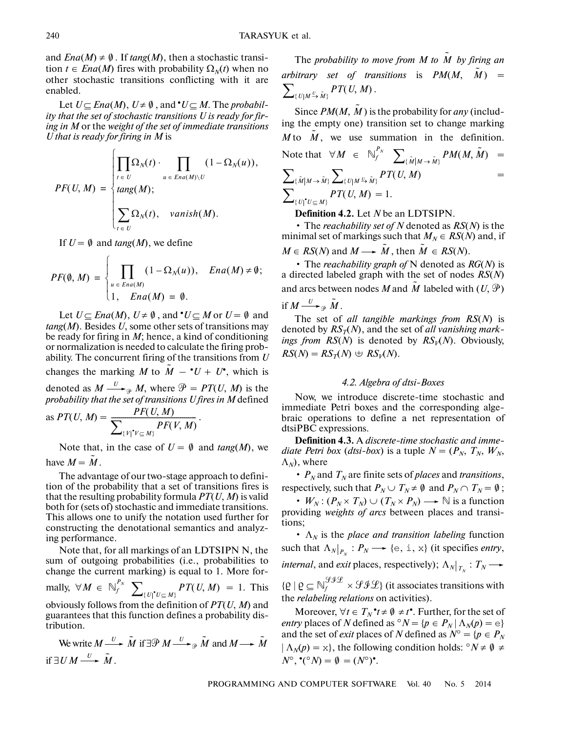and  $Ena(M) \neq \emptyset$ . If  $tang(M)$ , then a stochastic transition  $t \in \text{Ena}(M)$  fires with probability  $\Omega_N(t)$  when no other stochastic transitions conflicting with it are enabled.

Let  $U \subseteq \text{Ena}(M), U \neq \emptyset$ , and  $^{\bullet}U \subseteq M$ . The *probability that the set of stochastic transitions U is ready for fir ing in M* or the *weight of the set of immediate transitions U that is ready for firing in M* is

$$
PF(U, M) = \begin{cases} \prod_{t \in U} \Omega_N(t) \cdot \prod_{u \in \text{Ena}(M) \setminus U} (1 - \Omega_N(u)), \\ \text{tang}(M); \\ \sum_{t \in U} \Omega_N(t), \quad \text{vanish}(M). \end{cases}
$$

If  $U = \emptyset$  and *tang*(*M*), we define

$$
PF(\emptyset, M) = \begin{cases} \prod_{u \in \text{Ena}(M)} (1 - \Omega_N(u)), & \text{Ena}(M) \neq \emptyset; \\ 1, & \text{Ena}(M) = \emptyset. \end{cases}
$$

Let  $U \subseteq \text{Ena}(M), U \neq \emptyset$ , and  $^{\bullet}U \subseteq M$  or  $U = \emptyset$  and *tang*(*M*). Besides *U*, some other sets of transitions may be ready for firing in *M*; hence, a kind of conditioning or normalization is needed to calculate the firing prob ability. The concurrent firing of the transitions from *U* changes the marking *M* to  $\tilde{M} - U + U^*$ , which is denoted as  $M \xrightarrow{U} \mathcal{P}$  *M*, where  $\mathcal{P} = PT(U, M)$  is the *probability that the set of transitions U fires in M* defined *U*

as 
$$
PT(U, M) = \frac{PF(U, M)}{\sum_{\{V | V \subseteq M\}} PF(V, M)}
$$
.

Note that, in the case of  $U = \emptyset$  and *tang*(*M*), we have  $M = \tilde{M}$ .

The advantage of our two-stage approach to defini tion of the probability that a set of transitions fires is that the resulting probability formula *PT*(*U*, *M*) is valid both for (sets of) stochastic and immediate transitions. This allows one to unify the notation used further for constructing the denotational semantics and analyz ing performance.

Note that, for all markings of an LDTSIPN N, the sum of outgoing probabilities (i.e., probabilities to change the current marking) is equal to 1. More for-

mally,  $\forall M \in \mathbb{N}_f^{P_N}$   $\sum_{x \in \mathcal{F}^*} PT(U, M) = 1$ . This  $\sum_{\{U\}^{\bullet}U\subseteq M\}}PT(U,M)$ 

obviously follows from the definition of *PT*(*U*, *M*) and guarantees that this function defines a probability dis tribution.

We write 
$$
M \xrightarrow{U} \tilde{M}
$$
 if  $\exists \mathcal{P} M \xrightarrow{U} \varphi \tilde{M}$  and  $M \longrightarrow \tilde{M}$   
if  $\exists U M \xrightarrow{U} \tilde{M}$ .

The *probability to move from*  $M$  *to*  $\tilde{M}$  *by firing an*  $arbitrary$  set of transitions is  $PM(M, \tilde{M}) =$  $\sum_{\{U \mid M \stackrel{U}{\rightarrow} \tilde{M}\}} PT(U, M)$  .

Since  $PM(M, \tilde{M})$  is the probability for *any* (including the empty one) transition set to change marking *M* to  $\tilde{M}$ , we use summation in the definition. Note that  $\forall M \in \mathbb{N}_f^{P_N}$   $\sum_{\substack{\tilde{M} \leq M \leq \tilde{M} \\ \tilde{M} \leq M}} PM(M, \tilde{M}) =$  $=$  $\sum_{\{U\}^{\bullet}U \subseteq M\}} PT(U, M) = 1.$  $\sum_{\set{\tilde{M}}|M\rightarrow\tilde{M}}^P M(M,\tilde{M})$  $\sum_{\{\tilde{M}|M \to \tilde{M}\}} \sum_{\{U|M \stackrel{U}{\to} \tilde{M}\}} PT(U, M)$ 

**Definition 4.2.** Let *N* be an LDTSIPN.

• The *reachability set of N* denoted as *RS*(*N*) is the minimal set of markings such that  $M_N \in RS(N)$  and, if

 $M \in RS(N)$  and  $M \longrightarrow \tilde{M}$ , then  $\tilde{M} \in RS(N)$ .

• The *reachability graph of* N denoted as *RG*(*N*) is a directed labeled graph with the set of nodes *RS*(*N*) and arcs between nodes  $M$  and  $\tilde{M}$  labeled with  $(U, \mathcal{P})$ if  $M \stackrel{U}{\longrightarrow}_{\mathcal{P}} \tilde{M}$ .

The set of *all tangible markings from RS*(*N*) is denoted by  $RS_T(N)$ , and the set of *all vanishing markings from RS(N)* is denoted by  $RS_V(N)$ . Obviously,  $RS(N) = RS_T(N) \oplus RS_V(N).$ 

# *4.2. Algebra of dtsi-Boxes*

Now, we introduce discrete-time stochastic and immediate Petri boxes and the corresponding alge braic operations to define a net representation of dtsiPBC expressions.

**Definition 4.3.** A *discrete-time stochastic and imme diate Petri box (dtsi-box)* is a tuple  $N = (P_N, T_N, W_N,$  $(\Lambda_N)$ , where

•  $P_N$  and  $T_N$  are finite sets of *places* and *transitions*, respectively, such that  $P_N \cup T_N \neq \emptyset$  and  $P_N \cap T_N = \emptyset$ ; •  $W_N: (P_N \times T_N) \cup (T_N \times P_N) \longrightarrow \mathbb{N}$  is a function providing *weights of arcs* between places and transi tions;

•  $\Lambda_N$  is the *place and transition labeling* function such that  $\Lambda_N|_{P_N} : P_N \longrightarrow \{e, \, \text{i}, \, \text{x}\}\$  (it specifies *entry*, *internal*, and *exit* places, respectively);  $\Lambda_N |_{T_N}$  :  $T_N$  $\{ \varrho \mid \varrho \subseteq \mathbb{N}_{f}^{\mathcal{Y} \mathcal{Y} \mathcal{X}} \times \mathcal{Y} \mathcal{Y} \mathcal{Y} \}$  (it associates transitions with the *relabeling relations* on activities). GIL

Moreover,  $\forall t \in T_N^{\bullet} t \neq \emptyset \neq t^{\bullet}$ . Further, for the set of *entry* places of *N* defined as  ${}^{\circ}N = \{p \in P_N | \Lambda_N(p) = e\}$ and the set of *exit* places of *N* defined as  $N^{\circ} = \{p \in P_N\}$  $| \Lambda_N(p) = x \}$ , the following condition holds:  $\mathcal{O}_N \neq \emptyset$  $N^{\circ}, \cdot({}^{\circ}N) = \emptyset = (N^{\circ})^{\bullet}.$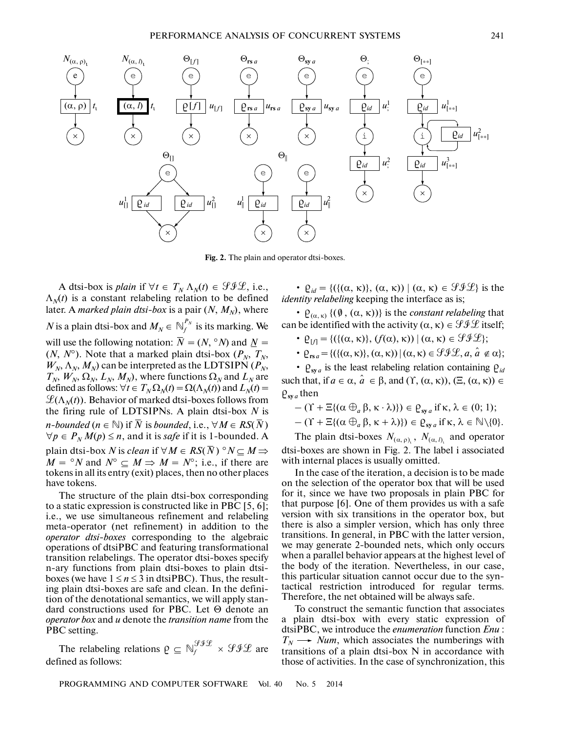

**Fig. 2.** The plain and operator dtsi-boxes.

A dtsi-box is *plain* if  $\forall t \in T_N \Lambda_N(t) \in \mathcal{GIL}$ , i.e.,  $\Lambda_N(t)$  is a constant relabeling relation to be defined later. A *marked plain dtsi-box* is a pair  $(N, M_N)$ , where *N* is a plain dtsi-box and  $M_N \in \mathbb{N}_f^{P_N}$  is its marking. We will use the following notation:  $\overline{N} = (N, \degree N)$  and  $\underline{N} =$  $(N, N^{\circ})$ . Note that a marked plain dtsi-box  $(P_N, T_N,$  $W_N$ ,  $\Lambda_N$ ,  $M_N$ ) can be interpreted as the LDTSIPN ( $P_N$ ,  $T_N$ ,  $W_N$ ,  $\Omega_N$ ,  $L_N$ ,  $M_N$ ), where functions  $\Omega_N$  and  $L_N$  are defined as follows:  $\forall t \in T_N \Omega_N(t) = \Omega(\Lambda_N(t))$  and  $L_N(t) =$  $\mathcal{L}(\Lambda_N(t))$ . Behavior of marked dtsi-boxes follows from the firing rule of LDTSIPNs. A plain dtsi-box *N* is  $n$ *-bounded* ( $n \in \mathbb{N}$ ) if  $\overline{N}$  is *bounded*, i.e.,  $\forall M \in RS(\overline{N})$  $\forall p \in P_N M(p) \leq n$ , and it is *safe* if it is 1-bounded. A plain dtsi-box *N* is *clean* if  $\forall M \in RS(\overline N) \ ^{\circ}N$   $\subseteq$   $M$   $\Rightarrow$  $M = \mathcal{O}N$  and  $N^{\circ} \subseteq M \Rightarrow M = N^{\circ}$ ; i.e., if there are tokens in all its entry (exit) places, then no other places have tokens. *PN*

The structure of the plain dtsi-box corresponding to a static expression is constructed like in PBC [5, 6]; i.e., we use simultaneous refinement and relabeling meta-operator (net refinement) in addition to the *operator dtsi-boxes* corresponding to the algebraic operations of dtsiPBC and featuring transformational transition relabelings. The operator dtsi-boxes specify n-ary functions from plain dtsi-boxes to plain dtsi boxes (we have  $1 \le n \le 3$  in dtsiPBC). Thus, the resulting plain dtsi-boxes are safe and clean. In the defini tion of the denotational semantics, we will apply stan dard constructions used for PBC. Let Θ denote an *operator box* and *u* denote the *transition name* from the PBC setting.

The relabeling relations  $\rho \subseteq \mathbb{N}^{\mathcal{J}\mathcal{Y}\mathcal{X}}_f \times \mathcal{Y}\mathcal{Y}\mathcal{Y}$  are defined as follows: GIL

•  $\varrho_{id} = \{ (\{(\alpha, \kappa)\}, (\alpha, \kappa)) \mid (\alpha, \kappa) \in \mathcal{GPL} \}$  is the *identity relabeling* keeping the interface as is;

•  $\varrho_{(\alpha,\kappa)} \{ (\emptyset, (\alpha,\kappa)) \}$  is the *constant relabeling* that can be identified with the activity  $(\alpha, \kappa) \in \mathcal{GIL}$  itself;  $\varrho_{(\alpha,\kappa)}$  {( $\varnothing$ 

- $\varrho_{[f]} = \{ (\{(\alpha, \kappa)\}, (f(\alpha), \kappa)) \mid (\alpha, \kappa) \in \mathcal{GF}\}$ ;
- $\rho_{rsa} = \{ (\{ (\alpha, \kappa) \}, (\alpha, \kappa)) \mid (\alpha, \kappa) \in \mathcal{GIL}, a, \hat{a} \notin \alpha \};$

•  $\rho_{sy}$  is the least relabeling relation containing  $\rho_{id}$ such that, if  $a \in \alpha$ ,  $\hat{a} \in \beta$ , and  $(Y, (\alpha, \kappa))$ ,  $(\Xi, (\alpha, \kappa)) \in$ **sy** *<sup>a</sup>* then ζ ρ  $\varrho_{sy}$  is the least relabeling relation containing  $\varrho$ *a*ˆ

$$
-(\Upsilon + \Xi\{(\alpha \oplus_a \beta, \kappa \cdot \lambda)\}) \in \varrho_{\text{sy } a} \text{ if } \kappa, \lambda \in (0; 1);
$$

$$
-(\Upsilon + \Xi\{(\alpha \oplus_{a} \beta, \kappa + \lambda)\}) \in \varrho_{\text{sy } a} \text{ if } \kappa, \lambda \in \mathbb{N}\setminus\{0\}.
$$

The plain dtsi-boxes  $N_{(\alpha,\rho)}$ ,  $N_{(\alpha,\rho)}$  and operator dtsi-boxes are shown in Fig. 2. The label i associated with internal places is usually omitted.

In the case of the iteration, a decision is to be made on the selection of the operator box that will be used for it, since we have two proposals in plain PBC for that purpose [6]. One of them provides us with a safe version with six transitions in the operator box, but there is also a simpler version, which has only three transitions. In general, in PBC with the latter version, we may generate 2-bounded nets, which only occurs when a parallel behavior appears at the highest level of the body of the iteration. Nevertheless, in our case, this particular situation cannot occur due to the syn tactical restriction introduced for regular terms. Therefore, the net obtained will be always safe.

To construct the semantic function that associates a plain dtsi-box with every static expression of dtsiPBC, we introduce the *enumeration* function *Enu* :  $T_N \longrightarrow Num$ , which associates the numberings with transitions of a plain dtsi-box N in accordance with those of activities. In the case of synchronization, this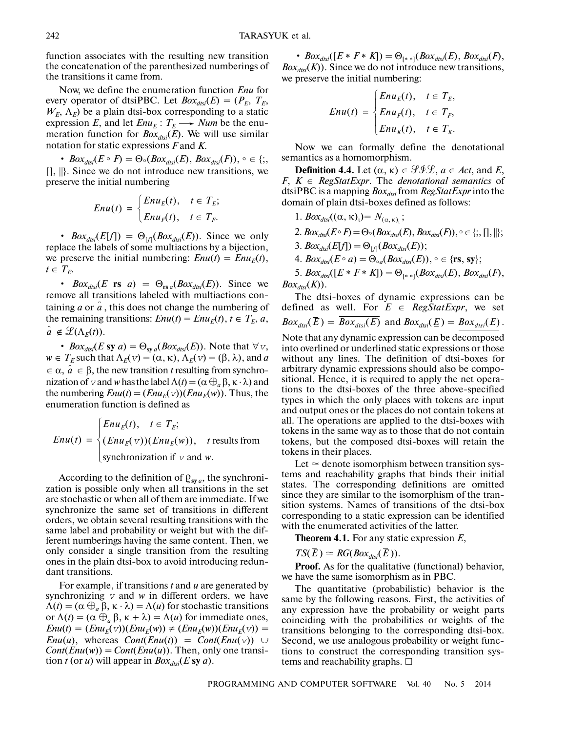function associates with the resulting new transition the concatenation of the parenthesized numberings of the transitions it came from.

Now, we define the enumeration function *Enu* for every operator of dtsiPBC. Let  $Box_{dist}(E) = (P_E, T_E,$  $W_E$ ,  $\Lambda_E$ ) be a plain dtsi-box corresponding to a static expression *E*, and let  $Enu_E : T_E \longrightarrow Num$  be the enumeration function for  $Box_{dtsi}(E)$ . We will use similar notation for static expressions *F* and *K*.

•  $Box_{dist}(E \circ F) = \Theta \circ (Box_{dist}(E), Box_{dist}(F)), \circ \in \{;$ [], ||}. Since we do not introduce new transitions, we preserve the initial numbering

$$
Enu(t) = \begin{cases} Enu_E(t), & t \in T_E; \\ Enu_F(t), & t \in T_F. \end{cases}
$$

•  $Box_{dtsi}(E[f]) = \Theta_{[f]}(Box_{dtsi}(E))$ . Since we only replace the labels of some multiactions by a bijection, we preserve the initial numbering:  $Enu(t) = Enu_F(t)$ ,  $t \in T_F$ .

•  $Box_{dtsi}(E \text{ rs } a) = \Theta_{\text{rs } a}(Box_{dtsi}(E))$ . Since we remove all transitions labeled with multiactions con taining *a* or  $\hat{a}$  , this does not change the numbering of the remaining transitions:  $Enu(t) = Enu_E(t), t \in T_E, a$ ,  $\hat{a} \notin \mathcal{L}(\Lambda_E(t)).$ 

•  $Box_{dts}(E \text{ sy } a) = \Theta_{\text{sy } a}(Box_{dts}(E))$ . Note that  $\forall v$ ,  $w \in T_E$  such that  $\Lambda_E(v) = (\alpha, \kappa), \Lambda_E(v) = (\beta, \lambda)$ , and *a*  $\in \alpha$ ,  $\hat{a} \in \beta$ , the new transition *t* resulting from synchronization of v and *w* has the label  $\Lambda(t) = (\alpha \bigoplus_{a} \beta, \kappa \cdot \lambda)$  and the numbering  $Env(t) = (Env<sub>E</sub>(v))(Env<sub>E</sub>(w))$ . Thus, the enumeration function is defined as

$$
Enu(t) = \begin{cases} Enu_E(t), & t \in T_E; \\ (Enu_E(v))(Enu_E(w)), & t \text{ results from} \\ \text{synchronization if } v \text{ and } w. \end{cases}
$$

According to the definition of  $\varrho_{sy}$ , the synchronization is possible only when all transitions in the set are stochastic or when all of them are immediate. If we synchronize the same set of transitions in different orders, we obtain several resulting transitions with the same label and probability or weight but with the dif ferent numberings having the same content. Then, we only consider a single transition from the resulting ones in the plain dtsi-box to avoid introducing redun dant transitions.

For example, if transitions *t* and *u* are generated by synchronizing v and *w* in different orders, we have  $\Lambda(t) = (\alpha \bigoplus_{a} \beta, \kappa \cdot \lambda) = \Lambda(u)$  for stochastic transitions or  $\Lambda(t) = (\alpha \bigoplus_{a} \beta, \kappa + \lambda) = \Lambda(u)$  for immediate ones,  $Enu(t) = (Enu_E(v))(Enu_E(w)) \neq (Enu_E(w))(Enu_E(v)) =$ *Enu*(*u*), whereas *Cont*(*Enu*(*t*)) = *Cont*(*Enu*(*v*)) ∪  $Cont(Env(w)) = Cont(Env(u))$ . Then, only one transition *t* (or *u*) will appear in  $Box_{\text{diss}}(E \textbf{sy } a)$ .

•  $Box_{dtsi}([E * F * K]) = \Theta_{[**]}(Box_{dtsi}(E), Box_{dtsi}(F),$  $Box_{\text{div}}(K)$ . Since we do not introduce new transitions, we preserve the initial numbering:

$$
Enu(t) = \begin{cases} Enu_E(t), & t \in T_E, \\ Enu_F(t), & t \in T_F, \\ Enu_K(t), & t \in T_K. \end{cases}
$$

Now we can formally define the denotational semantics as a homomorphism.

**Definition 4.4.** Let  $(\alpha, \kappa) \in \mathcal{GJL}$ ,  $a \in Act$ , and *E*,  $F, K \in RegStatExpr.$  The *denotational semantics* of dtsiPBC is a mapping *Box<sub>dtsi</sub>* from *RegStatExpr* into the domain of plain dtsi-boxes defined as follows:

- 1.  $Box_{dist}((\alpha, \kappa)_{i}) = N_{(\alpha, \kappa)_{i}};$
- 2.  $Box_{dxi}(E \circ F) = \Theta \circ (Box_{dxi}(E), Box_{dxi}(F)), \circ \in \{; , [], ||\};$

3.  $Box_{dtsi}(E[f]) = \Theta_{[f]}(Box_{dtsi}(E));$ 

4.  $Box_{dis}(E \circ a) = \Theta_{\circ a}(Box_{dis}(E)), \circ \in \{rs, sy\};$ 

5.  $Box_{dist}([E * F * K]) = \Theta_{[**]}(Box_{dist}(E), Box_{dist}(F)),$  $Box_{dist}(K)$ .

The dist-boxes of dynamic expressions can be defined as well. For 
$$
E \in RegStatExpr
$$
, we set  $Box_{dts}(\overline{E}) = \overline{Box_{dts}(\overline{E})}$  and  $Box_{dts}(\underline{E}) = Box_{dts}(\overline{E})$ .

Note that any dynamic expression can be decomposed into overlined or underlined static expressions or those without any lines. The definition of dtsi-boxes for arbitrary dynamic expressions should also be compo sitional. Hence, it is required to apply the net opera tions to the dtsi-boxes of the three above-specified types in which the only places with tokens are input and output ones or the places do not contain tokens at all. The operations are applied to the dtsi-boxes with tokens in the same way as to those that do not contain tokens, but the composed dtsi-boxes will retain the tokens in their places.

Let  $\simeq$  denote isomorphism between transition systems and reachability graphs that binds their initial states. The corresponding definitions are omitted since they are similar to the isomorphism of the tran sition systems. Names of transitions of the dtsi-box corresponding to a static expression can be identified with the enumerated activities of the latter.

**Theorem 4.1.** For any static expression *E*,

 $TS(\overline{E}) \simeq RG(Box_{dtsi}(\overline{E})).$ 

**Proof.** As for the qualitative (functional) behavior, we have the same isomorphism as in PBC.

The quantitative (probabilistic) behavior is the same by the following reasons. First, the activities of any expression have the probability or weight parts coinciding with the probabilities or weights of the transitions belonging to the corresponding dtsi-box. Second, we use analogous probability or weight func tions to construct the corresponding transition sys tems and reachability graphs.  $\Box$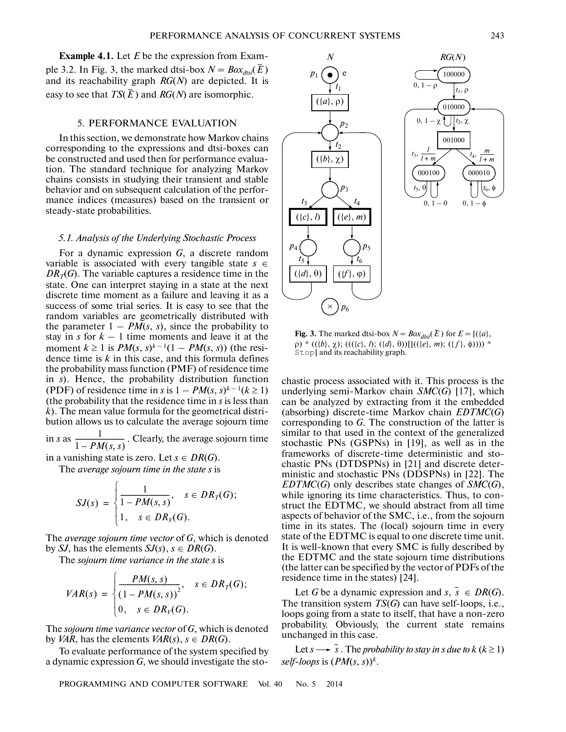**Example 4.1.** Let *E* be the expression from Exam ple 3.2. In Fig. 3, the marked dtsi-box  $N = Box<sub>dist</sub>(\overline{E})$ and its reachability graph *RG*(*N*) are depicted. It is easy to see that  $TS(\overline{E})$  and  $RG(N)$  are isomorphic.

# 5. PERFORMANCE EVALUATION

In this section, we demonstrate how Markov chains corresponding to the expressions and dtsi-boxes can be constructed and used then for performance evalua tion. The standard technique for analyzing Markov chains consists in studying their transient and stable behavior and on subsequent calculation of the perfor mance indices (measures) based on the transient or steady-state probabilities.

## *5.1. Analysis of the Underlying Stochastic Process*

For a dynamic expression *G*, a discrete random variable is associated with every tangible state  $s \in$  $DR<sub>T</sub>(G)$ . The variable captures a residence time in the state. One can interpret staying in a state at the next discrete time moment as a failure and leaving it as a success of some trial series. It is easy to see that the random variables are geometrically distributed with the parameter  $1 - PM(s, s)$ , since the probability to stay in  $s$  for  $k - 1$  time moments and leave it at the moment  $k \ge 1$  is  $PM(s, s)^{k-1}(1 - PM(s, s))$  (the residence time is *k* in this case, and this formula defines the probability mass function (PMF) of residence time in *s*). Hence, the probability distribution function (PDF) of residence time in *s* is  $1 - PM(s, s)^{k-1}(k \ge 1)$ (the probability that the residence time in *s* is less than *k*). The mean value formula for the geometrical distri bution allows us to calculate the average sojourn time

in *s* as  $\frac{1}{1 - PM(s, s)}$ . Clearly, the average sojourn time

in a vanishing state is zero. Let  $s \in DR(G)$ .

The *average sojourn time in the state s* is

$$
SJ(s) = \begin{cases} \frac{1}{1 - PM(s, s)}, & s \in DR_T(G); \\ 1, & s \in DR_V(G). \end{cases}
$$

The *average sojourn time vector* of *G*, which is denoted by *SJ*, has the elements  $SJ(s)$ ,  $s \in DR(G)$ .

The *sojourn time variance in the state s* is

$$
VAR(s) = \begin{cases} \frac{PM(s, s)}{(1 - PM(s, s))^{2}}, & s \in DR_T(G); \\ 0, & s \in DR_V(G). \end{cases}
$$

The *sojourn time variance vector* of *G*, which is denoted by *VAR*, has the elements *VAR*(*s*),  $s \in DR(G)$ .

To evaluate performance of the system specified by a dynamic expression *G*, we should investigate the sto-



**Fig. 3.** The marked dtsi-box  $N = Box_{dtsi}(\overline{E})$  for  $E = [(\{a\},\$  $\rho$ ) \* (({*b*},  $\chi$ ); ((({*c*}, *l*); ({*d*},  $\theta$ ))[](({*e*}, *m*); ({*f* },  $\phi$ )))) \* Stop] and its reachability graph.

chastic process associated with it. This process is the underlying semi-Markov chain *SMC*(*G*) [17], which can be analyzed by extracting from it the embedded (absorbing) discrete-time Markov chain *EDTMC*(*G*) corresponding to *G*. The construction of the latter is similar to that used in the context of the generalized stochastic PNs (GSPNs) in [19], as well as in the frameworks of discrete-time deterministic and stochastic PNs (DTDSPNs) in [21] and discrete deter ministic and stochastic PNs (DDSPNs) in [22]. The *EDTMC*(*G*) only describes state changes of *SMC*(*G*), while ignoring its time characteristics. Thus, to con struct the EDTMC, we should abstract from all time aspects of behavior of the SMC, i.e., from the sojourn time in its states. The (local) sojourn time in every state of the EDTMC is equal to one discrete time unit. It is well-known that every SMC is fully described by the EDTMC and the state sojourn time distributions (the latter can be specified by the vector of PDFs of the residence time in the states) [24].

Let *G* be a dynamic expression and  $s, \tilde{s} \in DR(G)$ . The transition system *TS*(*G*) can have self-loops, i.e., loops going from a state to itself, that have a non-zero probability. Obviously, the current state remains unchanged in this case.

Let  $s \longrightarrow \tilde{s}$ . The *probability to stay in s due to*  $k (k \ge 1)$ *self-loops* is (*PM*(*s*, *s*))*<sup>k</sup>* .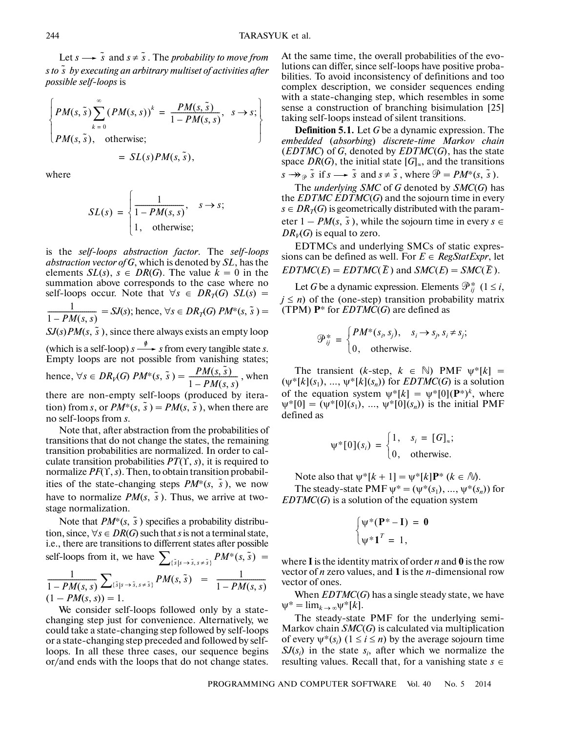Let  $s \longrightarrow \tilde{s}$  and  $s \neq \tilde{s}$ . The *probability to move from s to by executing an arbitrary multiset of activities after* ˜*s possible self-loops* is

$$
\begin{cases}\nPM(s, \tilde{s}) \sum_{k=0}^{\infty} (PM(s, s))^k = \frac{PM(s, \tilde{s})}{1 - PM(s, s)}, & s \to s; \\
PM(s, \tilde{s}), & \text{otherwise};\n\end{cases}
$$

$$
= SL(s)PM(s, \tilde{s}),
$$

where

$$
SL(s) = \begin{cases} \frac{1}{1 - PM(s, s)}, & s \to s; \\ 1, & \text{otherwise}; \end{cases}
$$

is the *self-loops abstraction factor*. The *self-loops abstraction vector of G*, which is denoted by *SL*, has the elements *SL*(*s*),  $s \in DR(G)$ . The value  $k = 0$  in the summation above corresponds to the case where no self-loops occur. Note that  $\forall s \in DR_T(G)$  *SL(s)* =

 $\frac{1}{1 - PM(s, s)} = SI(s)$ ; hence,  $\forall s \in DR_T(G)PM^*(s, \tilde{s}) =$  $\mathcal{S}J(s)PM(s, \tilde{s})$ , since there always exists an empty loop

(which is a self-loop)  $s \xrightarrow{v} s$  from every tangible state *s*. Empty loops are not possible from vanishing states; hence,  $\forall s \in DR_V(G)$   $PM^*(s, \tilde{s}) = \frac{PM(s, \tilde{s})}{1 - PM(s, s)}$ , when there are non-empty self-loops (produced by itera-  $\text{tion})$  from *s*, or  $PM^*(s, \tilde{s}) = PM(s, \tilde{s})$ , when there are no self-loops from *s*.  $\pmb{\phi}$ 

Note that, after abstraction from the probabilities of transitions that do not change the states, the remaining transition probabilities are normalized. In order to cal culate transition probabilities *PT*(ϒ, *s*), it is required to normalize *PF*(ϒ, *s*). Then, to obtain transition probabil ities of the state-changing steps  $PM*(s, \tilde{s})$ , we now have to normalize  $PM(s, \tilde{s})$ . Thus, we arrive at twostage normalization.

Note that  $PM*(s, \tilde{s})$  specifies a probability distribution, since,  $\forall s \in DR(G)$  such that *s* is not a terminal state, i.e., there are transitions to differrent states after possible self-loops from it, we have  $\sum_{\{\tilde{s}|s\rightarrow \tilde{s}, s\neq \tilde{s}\}} PM^*(s, \tilde{s}) =$ 

$$
\frac{1}{1 - PM(s, s)} \sum_{\{\tilde{s} \mid s \to \tilde{s}, s \neq \tilde{s}\}} PM(s, \tilde{s}) = \frac{1}{1 - PM(s, s)}
$$
  
(1 - PM(s, s)) = 1.

We consider self-loops followed only by a state changing step just for convenience. Alternatively, we could take a state-changing step followed by self-loops or a state-changing step preceded and followed by self loops. In all these three cases, our sequence begins or/and ends with the loops that do not change states.

At the same time, the overall probabilities of the evo lutions can differ, since self-loops have positive proba bilities. To avoid inconsistency of definitions and too complex description, we consider sequences ending with a state-changing step, which resembles in some sense a construction of branching bisimulation [25] taking self-loops instead of silent transitions.

**Definition 5.1.** Let *G* be a dynamic expression. The *embedded* (*absorbing*) *discrete-time Markov chain* (*EDTMC*) of *G*, denoted by *EDTMC*(*G*), has the state space  $DR(G)$ , the initial state  $[G]_{\approx}$ , and the transitions  $s \rightarrow s$   $\tilde{s}$  if  $s \rightarrow \tilde{s}$  and  $s \neq \tilde{s}$ , where  $\mathcal{P} = PM^*(s, \tilde{s})$ .

The *underlying SMC* of *G* denoted by *SMC*(*G*) has the *EDTMC EDTMC*(*G*) and the sojourn time in every  $s \in DR_T(G)$  is geometrically distributed with the parameter  $1 - PM(s, \tilde{s})$ , while the sojourn time in every  $s \in$  $DR<sub>V</sub>(G)$  is equal to zero.

EDTMCs and underlying SMCs of static expres sions can be defined as well. For  $E \in \text{RegStatExpr}$ , let *EDTMC*(*E*) = *EDTMC*(*E*) and *SMC*(*E*) = *SMC*(*E*).

Let *G* be a dynamic expression. Elements  $\mathcal{P}_{ij}^*$  (1 ≤ *i*,  $j \leq n$ ) of the (one-step) transition probability matrix (TPM) **P**\* for *EDTMC*(*G*) are defined as

$$
\mathcal{P}_{ij}^* = \begin{cases} PM^*(s_i, s_j), & s_i \to s_j, s_i \neq s_j; \\ 0, & \text{otherwise.} \end{cases}
$$

The transient (*k*-step,  $k \in \mathbb{N}$ ) PMF  $\psi^*[k] =$  $(\psi^*[k](s_1), \ldots, \psi^*[k](s_n))$  for *EDTMC(G)* is a solution of the equation system  $\psi^*[k] = \psi^*[0](\mathbf{P}^*)^k$ , where  $\psi^*[0] = (\psi^*[0](s_1), \dots, \psi^*[\tilde{0}](s_n))$  is the initial PMF defined as

$$
\Psi^*[0](s_i) = \begin{cases} 1, & s_i = [G]_{\approx}; \\ 0, & \text{otherwise}. \end{cases}
$$

Note also that  $\psi^*[k+1] = \psi^*[k] \mathbf{P}^*$  ( $k \in \mathbb{N}$ ).

The steady-state PMF  $\psi^* = (\psi^*(s_1), ..., \psi^*(s_n))$  for *EDTMC*(*G*) is a solution of the equation system

$$
\begin{cases}\n\psi^*(\mathbf{P}^* - \mathbf{I}) = \mathbf{0} \\
\psi^* \mathbf{1}^T = 1,\n\end{cases}
$$

where **I** is the identity matrix of order *n* and **0** is the row vector of *n* zero values, and **1** is the *n*-dimensional row vector of ones.

When *EDTMC*(*G*) has a single steady state, we have  $\Psi^* = \lim_{k \to \infty} \Psi^*[k].$ 

The steady-state PMF for the underlying semi- Markov chain *SMC*(*G*) is calculated via multiplication of every  $\psi^*(s_i)$   $(1 \le i \le n)$  by the average sojourn time  $SJ(s_i)$  in the state  $s_i$ , after which we normalize the resulting values. Recall that, for a vanishing state  $s \in$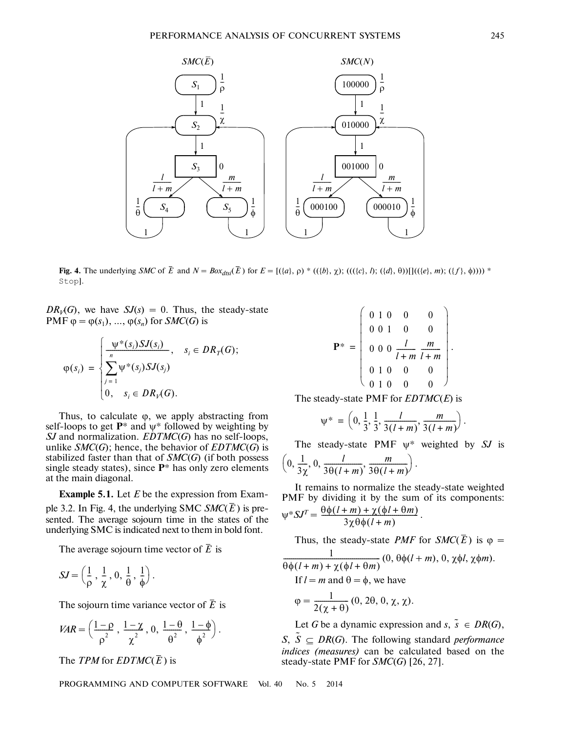

Fig. 4. The underlying SMC of  $\overline{E}$  and  $N = Box_{dts}(\overline{E})$  for  $E = [(\{a\}, \rho) * ((\{b\}, \chi); (((\{c\}, \theta); (\{d\}, \theta)))]((\{e\}, m); (\{f\}, \phi)))) *$ Stop].

 $DR<sub>V</sub>(G)$ , we have  $SJ(s) = 0$ . Thus, the steady-state  $PMF \varphi = \varphi(s_1), \ldots, \varphi(s_n)$  for *SMC(G)* is

$$
\varphi(s_i) = \begin{cases}\n\frac{\psi^*(s_i) SJ(s_i)}{n}, & s_i \in DR_T(G); \\
\sum_{j=1}^n \psi^*(s_j) SJ(s_j) & \\
0, & s_i \in DR_V(G).\n\end{cases}
$$

Thus, to calculate  $\varphi$ , we apply abstracting from self-loops to get  $\mathbf{P}^*$  and  $\psi^*$  followed by weighting by *SJ* and normalization. *EDTMC*(*G*) has no self-loops, unlike  $SMC(G)$ ; hence, the behavior of  $EDTMC(G)$  is stabilized faster than that of *SMC*(*G*) (if both possess single steady states), since **P**\* has only zero elements at the main diagonal.

**Example 5.1.** Let *E* be the expression from Exam ple 3.2. In Fig. 4, the underlying SMC  $SMC(\overline{E})$  is presented. The average sojourn time in the states of the underlying SMC is indicated next to them in bold font.

The average sojourn time vector of  $\overline{E}$  is

 $SJ = \left( \frac{1}{2}, \frac{1}{2}, 0, \frac{1}{2}, \frac{1}{2} \right)$ .  $(\frac{1}{\rho})$  $\begin{pmatrix} 1 & 1 \\ 1 & 1 \end{pmatrix}$  $\frac{1}{\chi}$ , 0,  $\frac{1}{\theta}$  $\frac{1}{\theta}$ ,  $\frac{1}{\phi}$  $\frac{1}{\Phi}$ ⎞

The sojourn time variance vector of  $\overline{E}$  is

$$
VAR = \left(\frac{1-\rho}{\rho^2}, \frac{1-\chi}{\chi^2}, 0, \frac{1-\theta}{\theta^2}, \frac{1-\phi}{\phi^2}\right).
$$

The *TPM* for  $EDTMC(\overline{E})$  is

$$
\mathbf{P}^* = \left( \begin{array}{cccc} 0 & 1 & 0 & 0 & 0 \\ 0 & 0 & 1 & 0 & 0 \\ 0 & 0 & 0 & \frac{l}{l+m} & \frac{m}{l+m} \\ 0 & 1 & 0 & 0 & 0 \\ 0 & 1 & 0 & 0 & 0 \end{array} \right).
$$

The steady-state PMF for *EDTMC*(*E*) is

$$
\Psi^* = \left(0, \frac{1}{3}, \frac{1}{3}, \frac{l}{3(l+m)}, \frac{m}{3(l+m)}\right).
$$

The steady-state PMF  $\psi^*$  weighted by SJ is  $\left(0, \frac{1}{3\chi}, 0, \frac{l}{3\theta(l+m)}, \frac{m}{3\theta(l+m)}\right).$ 

It remains to normalize the steady-state weighted PMF by dividing it by the sum of its components:  $\Psi^* S J^T = \frac{\theta \phi (l+m) + \chi(\phi l + \theta m)}{3 \chi \theta \phi (l+m)}$ .

Thus, the steady-state *PMF* for *SMC*( $\overline{E}$ ) is  $\varphi$  =  $\frac{1}{\theta \phi(l+m)+\chi(\phi l+\theta m)}(0, \theta \phi(l+m), 0, \chi \phi l, \chi \phi m).$ If  $l = m$  and  $\theta = \phi$ , we have  $\varphi = \frac{1}{2(\chi + \theta)} (0, 2\theta, 0, \chi, \chi).$ 

Let *G* be a dynamic expression and *s*,  $\tilde{s} \in DR(G)$ ,

 $S, \tilde{S} \subseteq DR(G)$ . The following standard *performance indices (measures)* can be calculated based on the steady-state PMF for *SMC*(*G*) [26, 27].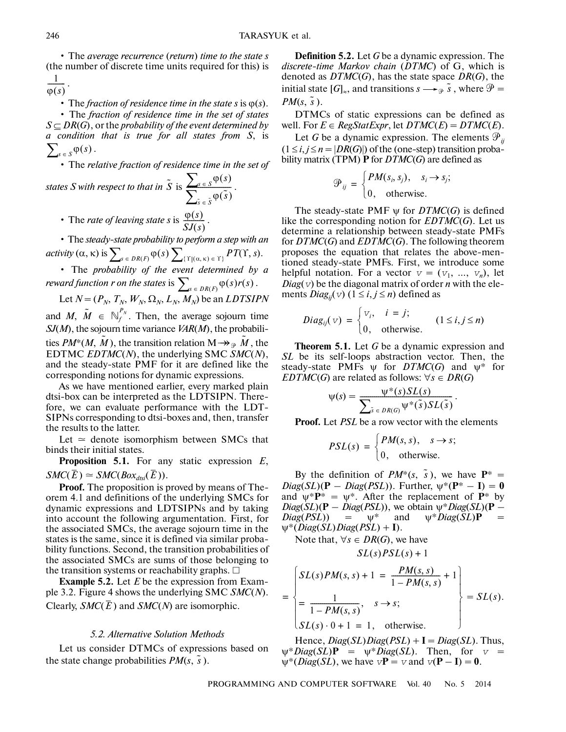• The *averag*e *recurrence* (*return*) *time to the state s* (the number of discrete time units required for this) is

 $\frac{1}{\varphi(s)}$ .  $\frac{1}{\sqrt{2}}$ 

• The *fraction of residence time in the state*  $s$  is  $\varphi(s)$ .

• The *fraction of residence time in the set of states*  $S \subseteq DR(G)$ , or the *probability of the event determined by a condition that is true for all states from S*, is  $\sum_{s \in S} \varphi(s)$ .

• The *relative fraction of residence time in the set of*

states S with respect to that in 
$$
\tilde{S}
$$
 is 
$$
\frac{\sum_{s \in S} \varphi(s)}{\sum_{\tilde{s} \in \tilde{S}} \varphi(\tilde{s})}.
$$

• The *rate of leaving state s* is  $\frac{\varphi(s)}{SJ(s)}$ .

• The *steady-state probability to perform a step with an*  $\hat{q}$  activity  $(\alpha, \kappa)$  is  $\sum_{s \in BR(F)} \varphi(s) \sum_{\{\Upsilon | (\alpha, \kappa) \in \Upsilon\}} PT(\Upsilon, s)$ .

• The *probability of the event determined by a reward function r on the states* is  $\sum_{s \in \text{BEC}} \varphi(s)r(s)$ .  $\sum_{s \in DR(F)} \varphi(s) r(s)$ 

Let  $N = (P_N, T_N, W_N, \Omega_N, L_N, M_N)$  be an *LDTSIPN* and *M*,  $M \in \mathbb{N}_f^{N}$ . Then, the average sojourn time *SJ*(*M*), the sojourn time variance *VAR*(*M*), the probabili ties  $PM*(M, \tilde{M})$ , the transition relation  $\mathrm{M} {\rightarrow} _{\scriptscriptstyle{\mathcal{P}}} \tilde{M}$  , the EDTMC *EDTMC*(*N*), the underlying SMC *SMC*(*N*), and the steady-state PMF for it are defined like the corresponding notions for dynamic expressions.  $\tilde{M}$   $\in$   $\mathbb{N}_f^{\perp}$ *PN*

As we have mentioned earlier, every marked plain dtsi-box can be interpreted as the LDTSIPN. There fore, we can evaluate performance with the LDT- SIPNs corresponding to dtsi-boxes and, then, transfer the results to the latter.

Let  $\simeq$  denote isomorphism between SMCs that binds their initial states.

**Proposition 5.1.** For any static expression *E*,  $SMC(\overline{E}) \simeq SMC(Box_{dtsi}(\overline{E})).$ 

**Proof.** The proposition is proved by means of The orem 4.1 and definitions of the underlying SMCs for dynamic expressions and LDTSIPNs and by taking into account the following argumentation. First, for the associated SMCs, the average sojourn time in the states is the same, since it is defined via similar proba bility functions. Second, the transition probabilities of the associated SMCs are sums of those belonging to the transition systems or reachability graphs.  $\Box$ 

**Example 5.2.** Let *E* be the expression from Exam ple 3.2. Figure 4 shows the underlying SMC *SMC*(*N*). Clearly, *SMC*( $\overline{E}$ ) and *SMC*(*N*) are isomorphic.

## *5.2. Alternative Solution Methods*

Let us consider DTMCs of expressions based on the state change probabilities  $PM(s, \tilde{s})$ .

**Definition 5.2.** Let *G* be a dynamic expression. The *discrete-time Markov chain* (*DTMC*) of G, which is denoted as *DTMC*(*G*), has the state space *DR*(*G*), the initial state  $[G]_{\approx}$ , and transitions  $s \longrightarrow_{\mathcal{P}} \tilde{s}$  , where  $\mathcal{P} =$  $PM(s, \tilde{s})$ .

DTMCs of static expressions can be defined as well. For  $E \in RegStatExpr$ , let  $DTMC(E) = DTMC(E)$ .

Let *G* be a dynamic expression. The elements  $\mathcal{P}_{ii}$  $(1 \le i, j \le n = |DR(G)|)$  of the (one-step) transition probability matrix (TPM) **P** for *DTMC*(*G*) are defined as

$$
\mathcal{P}_{ij} = \begin{cases} PM(s_i, s_j), & s_i \to s_j; \\ 0, & \text{otherwise.} \end{cases}
$$

The steady-state PMF  $\psi$  for  $DTMC(G)$  is defined like the corresponding notion for *EDTMC*(*G*). Let us determine a relationship between steady-state PMFs for *DTMC*(*G*) and *EDTMC*(*G*). The following theorem proposes the equation that relates the above-men tioned steady-state PMFs. First, we introduce some helpful notation. For a vector  $v = (v_1, ..., v_n)$ , let  $Diag(v)$  be the diagonal matrix of order *n* with the elements  $Diag_{ii}(v)$  ( $1 \le i, j \le n$ ) defined as

$$
Diag_{ij}(v) = \begin{cases} v_i, & i = j; \\ 0, & \text{otherwise.} \end{cases} \quad (1 \le i, j \le n)
$$

**Theorem 5.1.** Let *G* be a dynamic expression and *SL* be its self-loops abstraction vector. Then, the steady-state PMFs ψ for *DTMC*(*G*) and ψ\* for *EDTMC*(*G*) are related as follows:  $\forall s \in DR(G)$ 

$$
\psi(s) = \frac{\psi^*(s) SL(s)}{\sum_{\tilde{s} \in DR(G)} \psi^*(\tilde{s}) SL(\tilde{s})}.
$$

**Proof.** Let *PSL* be a row vector with the elements

$$
PSL(s) = \begin{cases} PM(s, s), & s \to s; \\ 0, & \text{otherwise.} \end{cases}
$$

By the definition of  $PM*(s, \tilde{s})$ , we have  $P^* =$  $Diag(SL)(P - Diag(PSL))$ . Further,  $\psi^*(P^* - I) = 0$ and  $\psi^* \mathbf{P}^* = \psi^*$ . After the replacement of  $\mathbf{P}^*$  by *Diag*(*SL*)( $P - Diag(PSL)$ ), we obtain  $\psi^*Diag(SL)(P Diag(PSL)$  =  $\psi^*$  and  $\psi^* Diag(SL)$ **P** = ψ\*(*Diag*(*SL*)*Diag*(*PSL*) + **I**).

Note that,  $\forall s \in DR(G)$ , we have

$$
SL(s)PSL(s) + 1
$$

$$
= \begin{cases} SL(s)PM(s, s) + 1 = \frac{PM(s, s)}{1 - PM(s, s)} + 1 \\ = \frac{1}{1 - PM(s, s)}, \quad s \rightarrow s; \\ SL(s) \cdot 0 + 1 = 1, \quad \text{otherwise.} \end{cases} = SL(s).
$$

Hence,  $Diag(SL)Diag(PSL) + I = Diag(SL)$ . Thus,  $\Psi^*Diag(SL)$ **P** =  $\Psi^*Diag(SL)$ . Then, for  $V =$  $\Psi^*(Diag(SL))$ , we have  $\nu \mathbf{P} = \nu$  and  $\nu(\mathbf{P} - \mathbf{I}) = \mathbf{0}$ .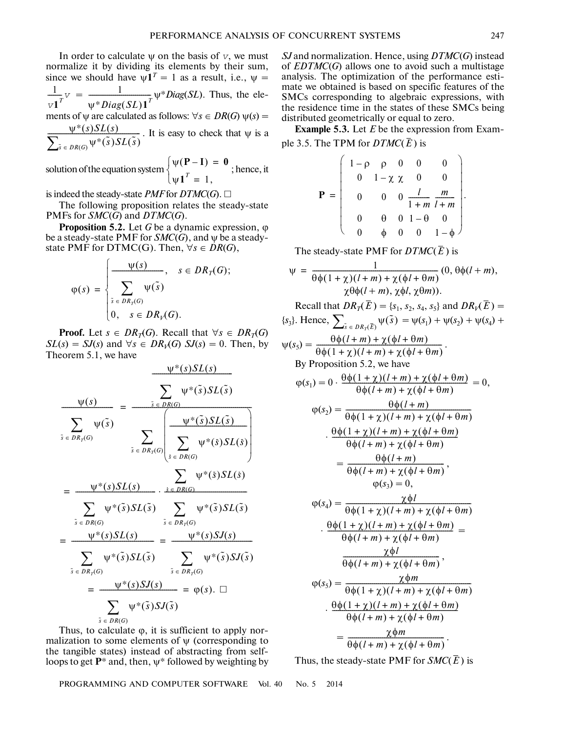In order to calculate  $\psi$  on the basis of  $v$ , we must normalize it by dividing its elements by their sum, since we should have  $\Psi I^T = 1$  as a result, i.e.,  $\Psi =$  $\frac{1}{T}v = \frac{1}{T}v^*Diag(SL)$ . Thus, the elements of  $\psi$  are calculated as follows:  $\forall s \in DR(G) \ \psi(s) =$  $\frac{1}{v\mathbf{1}^T}v = \frac{1}{\psi^*Diag}$ —<u><sup>1</sup><br>ψ\*Diag(SL)1<sup>7</sup></u>

 $\frac{\psi^*(s)SL(s)}{s}$ . It is easy to check that  $\psi$  is a  $\frac{\Psi^{(3)}(3)SL(3)}{\sum_{\tilde{s} \in DR(G)} \Psi^{*}(\tilde{s}) SL(\tilde{s})}$ 

solution of the equation system  $\left\{\begin{array}{c} \uparrow \left( \frac{1}{x} \right) \end{array} \right.$  solution of the equation system  $\left\{\begin{array}{c} \uparrow \left( \frac{1}{x} \right) \end{array} \right.$  $\psi(P-I) = 0$  $\begin{cases} \n\frac{1}{T} & \text{if } T = 1, \n\end{cases}$  $\sqrt{2}$ 

is indeed the steady-state *PMF* for  $DTMC(G)$ .

The following proposition relates the steady-state PMFs for *SMC*(*G*) and *DTMC*(*G*).

**Proposition 5.2.** Let *G* be a dynamic expression,  $\omega$ be a steady-state PMF for *SMC*(*G*), and ψ be a steady state PMF for DTMC(G). Then,  $\forall s \in DR(G)$ ,

$$
\varphi(s) = \begin{cases} \frac{\psi(s)}{\sum\limits_{\tilde{s} \in DR_T(G)} \psi(\tilde{s})}, & s \in DR_T(G); \\ 0, & s \in DR_V(G). \end{cases}
$$

**Proof.** Let  $s \in DR_T(G)$ . Recall that  $\forall s \in DR_T(G)$  $SL(s) = SJ(s)$  and  $\forall s \in DR<sub>V</sub>(G)$   $SJ(s) = 0$ . Then, by Theorem 5.1, we have

$$
\frac{\psi^*(s)SL(s)}{\sqrt{\sum_{\tilde{s}\in DR(G)}\psi(\tilde{s})}} = \frac{\sum_{\tilde{s}\in DR(G)}\psi^*(\tilde{s})SL(\tilde{s})}{\sum_{\tilde{s}\in DR(G)}\psi^*(\tilde{s})SL(\tilde{s})}
$$
\n
$$
= \frac{\psi^*(s)SL(s)}{\sum_{\tilde{s}\in DR(G)}\psi^*(\tilde{s})SL(\tilde{s})}
$$
\n
$$
= \frac{\sum_{\tilde{s}\in DR(G)}\psi^*(\tilde{s})SL(\tilde{s})}{\sum_{\tilde{s}\in DR(G)}\psi^*(\tilde{s})SL(\tilde{s})}
$$
\n
$$
= \frac{\sum_{\tilde{s}\in DR(G)}\psi^*(\tilde{s})SL(\tilde{s})}{\sum_{\tilde{s}\in DR(G)}\psi^*(\tilde{s})SL(\tilde{s})} = \frac{\psi^*(s)SL(\tilde{s})}{\sum_{\tilde{s}\in DR(G)}\psi^*(\tilde{s})SL(\tilde{s})}
$$
\n
$$
= \frac{\psi^*(s)SL(\tilde{s})}{\sum_{\tilde{s}\in DR(G)}\psi^*(\tilde{s})SL(\tilde{s})} = \varphi(s). \Box
$$

Thus, to calculate  $\varphi$ , it is sufficient to apply normalization to some elements of  $\psi$  (corresponding to the tangible states) instead of abstracting from self loops to get  $\mathbf{P}^*$  and, then,  $\psi^*$  followed by weighting by

PROGRAMMING AND COMPUTER SOFTWARE Vol. 40 No. 5 2014

*SJ* and normalization. Hence, using *DTMC*(*G*) instead of *EDTMC*(*G*) allows one to avoid such a multistage analysis. The optimization of the performance esti mate we obtained is based on specific features of the SMCs corresponding to algebraic expressions, with the residence time in the states of these SMCs being distributed geometrically or equal to zero.

**Example 5.3.** Let *E* be the expression from Example 3.5. The TPM for  $DTMC(E)$  is

$$
\mathbf{P} = \left( \begin{array}{cccccc} 1-\rho & \rho & 0 & 0 & 0 \\ 0 & 1-\chi \chi & 0 & 0 \\ 0 & 0 & 0 & \frac{l}{1+m} & \frac{m}{l+m} \\ 0 & \theta & 0 & 1-\theta & 0 \\ 0 & \phi & 0 & 0 & 1-\phi \end{array} \right).
$$

The steady-state PMF for  $DTMC(\overline{E})$  is

$$
\psi = \frac{1}{\theta \phi (1 + \chi)(l + m) + \chi(\phi l + \theta m)} (0, \theta \phi (l + m),
$$
  
 
$$
\chi \theta \phi (l + m), \chi \phi l, \chi \theta m).
$$

Recall that 
$$
DR_T(\overline{E}) = \{s_1, s_2, s_4, s_5\}
$$
 and  $DR_V(\overline{E}) =$   
\n $\{s_3\}$ . Hence,  $\sum_{\tilde{s} \in DR_T(\overline{E})} \psi(\tilde{s}) = \psi(s_1) + \psi(s_2) + \psi(s_4) +$   
\n $\psi(s_5) = \frac{\theta \phi(l+m) + \chi(\phi l + \theta m)}{\theta \phi(1 + \chi)(l+m) + \chi(\phi l + \theta m)}$ .  
\nBy Proposition 5.2, we have  
\n
$$
\varphi(s_1) = 0 \cdot \frac{\theta \phi(1 + \chi)(l+m) + \chi(\phi l + \theta m)}{\theta \phi(l+m) + \chi(\phi l + \theta m)}
$$
\n
$$
\varphi(s_2) = \frac{\theta \phi(l+m)}{\theta \phi(1 + \chi)(l+m) + \chi(\phi l + \theta m)}
$$
\n
$$
\cdot \frac{\theta \phi(1 + \chi)(l+m) + \chi(\phi l + \theta m)}{\theta \phi(l+m) + \chi(\phi l + \theta m)}
$$
\n
$$
= \frac{\theta \phi(l+m)}{\theta \phi(l+m) + \chi(\phi l + \theta m)},
$$
\n
$$
\varphi(s_3) = 0,
$$
\n
$$
\varphi(s_4) = \frac{\chi \phi l}{\theta \phi(1 + \chi)(l+m) + \chi(\phi l + \theta m)}
$$
\n
$$
\cdot \frac{\theta \phi(1 + \chi)(l+m) + \chi(\phi l + \theta m)}{\theta \phi(l+m) + \chi(\phi l + \theta m)}
$$
\n
$$
\varphi(s_5) = \frac{\chi \phi m}{\theta \phi(1 + \chi)(l+m) + \chi(\phi l + \theta m)}
$$
\n
$$
\cdot \frac{\theta \phi(1 + \chi)(l+m) + \chi(\phi l + \theta m)}{\theta \phi(l+m) + \chi(\phi l + \theta m)}
$$
\n
$$
= \frac{\chi \phi m}{\theta \phi(l+m) + \chi(\phi l + \theta m)}
$$

Thus, the steady-state PMF for  $SMC(\overline{E})$  is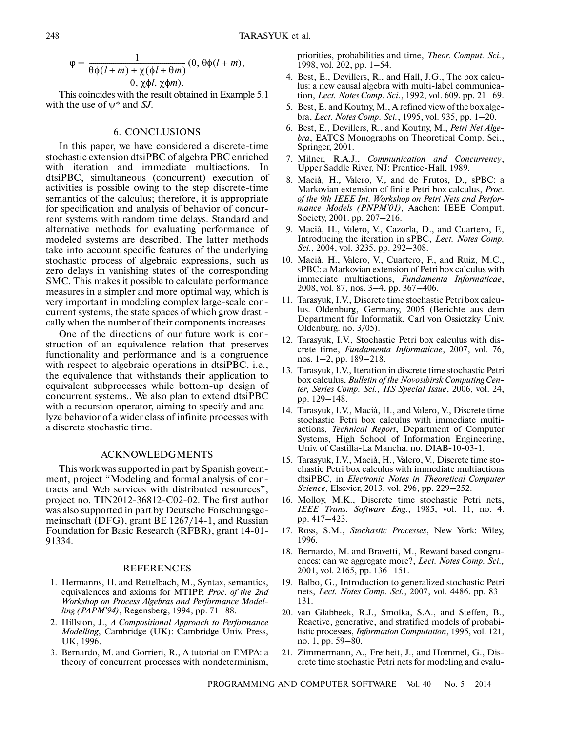$$
\varphi = \frac{1}{\theta \phi(l+m) + \chi(\phi l + \theta m)} (0, \theta \phi(l+m),
$$
  
0,  $\chi \phi l$ ,  $\chi \phi m$ ).

This coincides with the result obtained in Example 5.1 with the use of ψ\* and *SJ*.

# 6. CONCLUSIONS

In this paper, we have considered a discrete-time stochastic extension dtsiPBC of algebra PBC enriched with iteration and immediate multiactions. In dtsiPBC, simultaneous (concurrent) execution of activities is possible owing to the step discrete-time semantics of the calculus; therefore, it is appropriate for specification and analysis of behavior of concur rent systems with random time delays. Standard and alternative methods for evaluating performance of modeled systems are described. The latter methods take into account specific features of the underlying stochastic process of algebraic expressions, such as zero delays in vanishing states of the corresponding SMC. This makes it possible to calculate performance measures in a simpler and more optimal way, which is very important in modeling complex large-scale con current systems, the state spaces of which grow drasti cally when the number of their components increases.

One of the directions of our future work is con struction of an equivalence relation that preserves functionality and performance and is a congruence with respect to algebraic operations in dtsiPBC, i.e., the equivalence that withstands their application to equivalent subprocesses while bottom-up design of concurrent systems.. We also plan to extend dtsiPBC with a recursion operator, aiming to specify and ana lyze behavior of a wider class of infinite processes with a discrete stochastic time.

## ACKNOWLEDGMENTS

This work was supported in part by Spanish govern ment, project "Modeling and formal analysis of con tracts and Web services with distributed resources", project no. TIN2012-36812-C02-02. The first author was also supported in part by Deutsche Forschungsge meinschaft (DFG), grant BE 1267/14-1, and Russian Foundation for Basic Research (RFBR), grant 14-01- 91334.

## REFERENCES

- 1. Hermanns, H. and Rettelbach, M., Syntax, semantics, equivalences and axioms for MTIPP, *Proc. of the 2nd Workshop on Process Algebras and Performance Model ling (PAPM'94)*, Regensberg, 1994, pp. 71–88.
- 2. Hillston, J., *A Compositional Approach to Performance Modelling*, Cambridge (UK): Cambridge Univ. Press, UK, 1996.
- 3. Bernardo, M. and Gorrieri, R., A tutorial on EMPA: a theory of concurrent processes with nondeterminism,

 priorities, probabilities and time, *Theor. Comput. Sci.*, 1998, vol. 202, pp. 1–54.

- 4. Best, E., Devillers, R., and Hall, J.G., The box calcu lus: a new causal algebra with multi-label communica tion, *Lect. Notes Comp. Sci.*, 1992, vol. 609. pp. 21–69.
- 5. Best, E. and Koutny, M., A refined view of the box alge bra, *Lect. Notes Comp. Sci.*, 1995, vol. 935, pp. 1–20.
- 6. Best, E., Devillers, R., and Koutny, M., *Petri Net Alge bra*, EATCS Monographs on Theoretical Comp. Sci., Springer, 2001.
- 7. Milner, R.A.J., *Communication and Concurrency*, Upper Saddle River, NJ: Prentice-Hall, 1989.
- 8. Macià, H., Valero, V., and de Frutos, D., sPBC: a Markovian extension of finite Petri box calculus, *Proc. of the 9th IEEE Int. Workshop on Petri Nets and Perfor mance Models (PNPM'01)*, Aachen: IEEE Comput. Society, 2001. pp. 207–216.
- 9. Macià, H., Valero, V., Cazorla, D., and Cuartero, F., Introducing the iteration in sPBC, *Lect. Notes Comp. Sci.*, 2004, vol. 3235, pp. 292–308.
- 10. Macià, H., Valero, V., Cuartero, F., and Ruiz, M.C., sPBC: a Markovian extension of Petri box calculus with immediate multiactions, *Fundamenta Informaticae*, 2008, vol. 87, nos. 3–4, pp. 367–406.
- 11. Tarasyuk, I.V., Discrete time stochastic Petri box calcu lus. Oldenburg, Germany, 2005 (Berichte aus dem Department für Informatik. Carl von Ossietzky Univ. Oldenburg. no. 3/05).
- 12. Tarasyuk, I.V., Stochastic Petri box calculus with dis crete time, *Fundamenta Informaticae*, 2007, vol. 76, nos. 1–2, pp. 189–218.
- 13. Tarasyuk, I.V., Iteration in discrete time stochastic Petri box calculus, *Bulletin of the Novosibirsk Computing Cen ter, Series Comp. Sci., IIS Special Issue*, 2006, vol. 24, pp. 129–148.
- 14. Tarasyuk, I.V., Macià, H., and Valero, V., Discrete time stochastic Petri box calculus with immediate multi actions, *Technical Report*, Department of Computer Systems, High School of Information Engineering, Univ. of Castilla-La Mancha. no. DIAB-10-03-1.
- 15. Tarasyuk, I.V., Macià, H., Valero, V., Discrete time sto chastic Petri box calculus with immediate multiactions dtsiPBC, in *Electronic Notes in Theoretical Computer Science*, Elsevier, 2013, vol. 296, pp. 229–252.
- 16. Molloy, M.K., Discrete time stochastic Petri nets, *IEEE Trans. Software Eng.*, 1985, vol. 11, no. 4. pp. 417–423.
- 17. Ross, S.M., *Stochastic Processes*, New York: Wiley, 1996.
- 18. Bernardo, M. and Bravetti, M., Reward based congru ences: can we aggregate more?, *Lect. Notes Comp. Sci.,* 2001, vol. 2165, pp. 136–151.
- 19. Balbo, G., Introduction to generalized stochastic Petri nets, *Lect. Notes Comp. Sci.*, 2007, vol. 4486. pp. 83– 131.
- 20. van Glabbeek, R.J., Smolka, S.A., and Steffen, B., Reactive, generative, and stratified models of probabi listic processes, *Information Computation*, 1995, vol. 121, no. 1, pp. 59–80.
- 21. Zimmermann, A., Freiheit, J., and Hommel, G., Dis crete time stochastic Petri nets for modeling and evalu-